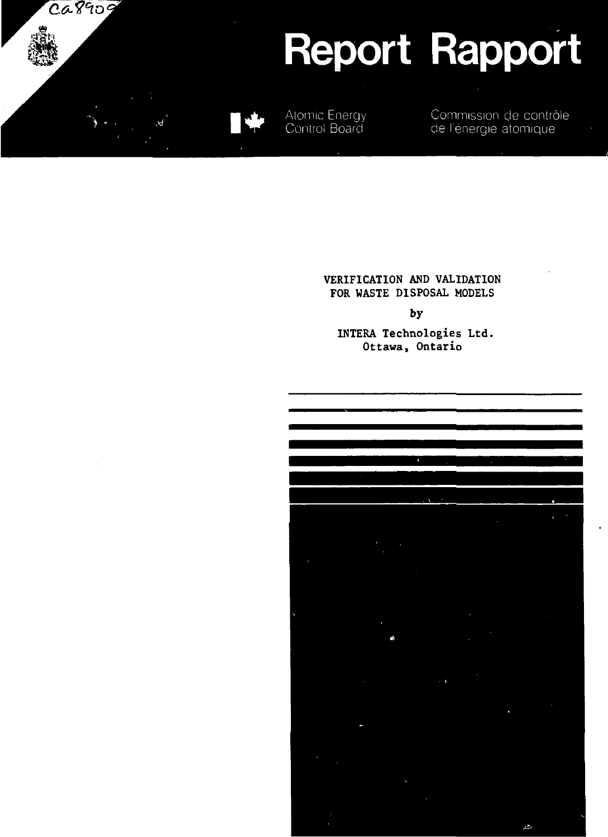

### **VERIFICATION AND VALIDATION FOR WASTE DISPOSAL MODELS**

**by**

**INTERA Technologies Ltd. Ottawa, Ontario**

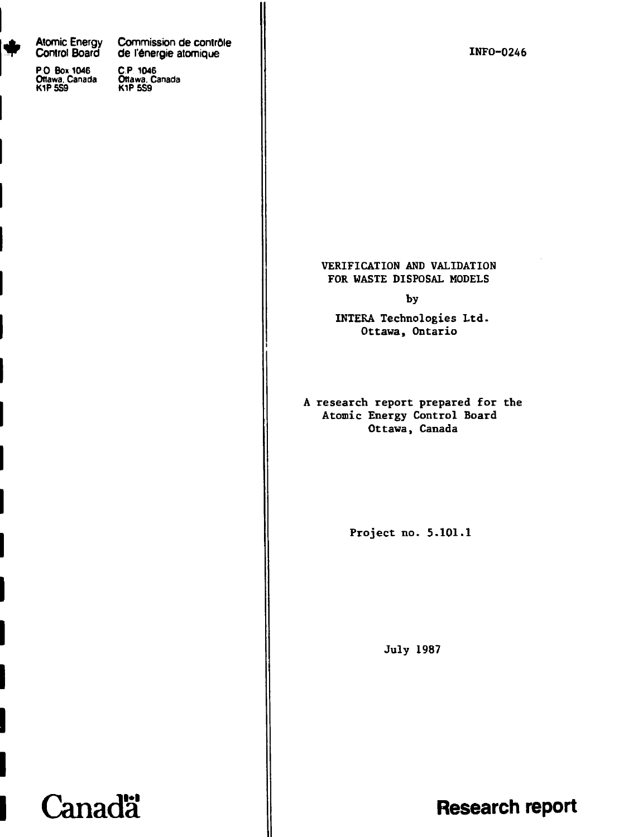**Atomic Energy Commission de controle** r.

**PO Box 1046 C P 1046 Ottawa. Canada Onawa. Canada KIP 5S9 KIP 5S9**

**Canadä** 

**Control Board Board de l'énergie atomique<br>C.P. 1046<br>Offawa, Canada<br>K1P 5S9** 

**INFO-0246**

### **VERIFICATION AND VALIDATION FOR WASTE DISPOSAL MODELS**

**by**

**INTERA Technologies Ltd. Ottawa, Ontario**

**A research report prepared for the Atomic Energy Control Board Ottawa, Canada**

**Project no. 5.101.1**

**July 1987**

**Research report**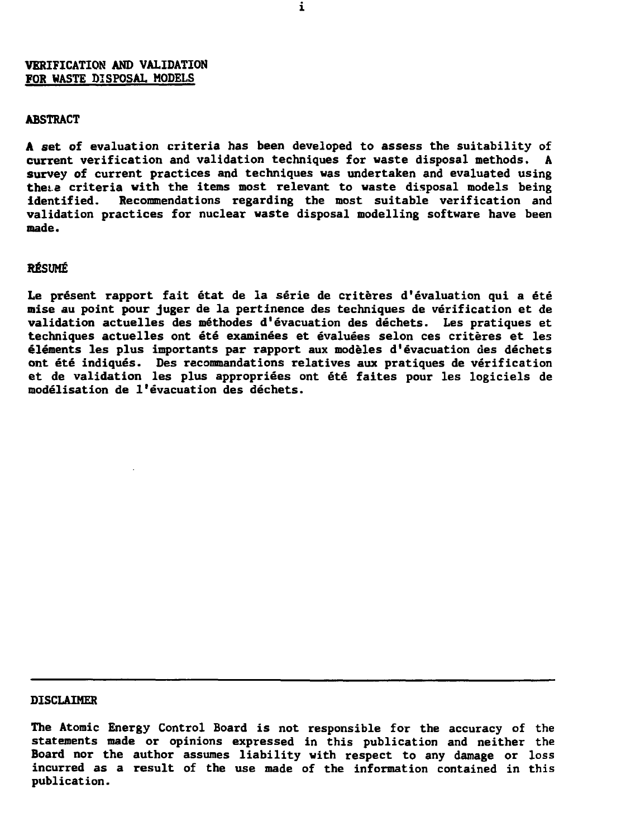### **VERIFICATION AND VALIDATION FOR WASTE DISPOSAL MODELS**

### **ABSTRACT**

**A set of evaluation criteria has been developed to assess the suitability of current verification and validation techniques for waste disposal methods. A survey of current practices and techniques was undertaken and evaluated using these criteria with the items most relevant to waste disposal models being identified. Recommendations regarding the most suitable verification and validation practices for nuclear waste disposal modelling software have been made.**

#### **RESUME**

**Le present rapport fait etat de la serie de criteres d'evaluation qui a ete raise au point pour juger de la pertinence des techniques de verification et de validation actuelles des methodes d<sup>1</sup>evacuation des dechets. Les pratiques et techniques actuelles ont ete examinees et evaluees selon ces criteres et les elements les plus importants par rapport aux modeles d'evacuation des dechets ont ete indiques. Des recommandations relatives aux pratiques de verification et de validation les plus appropriees ont ete faites pour les logiciels de modelisation de 1\*evacuation des dechets.**

#### **DISCLAIMER**

**The Atomic Energy Control Board is not responsible for the accuracy of the statements made or opinions expressed in this publication and neither the Board nor the author assumes liability with respect to any damage or loss incurred as a result of the use made of the information contained in this publication.**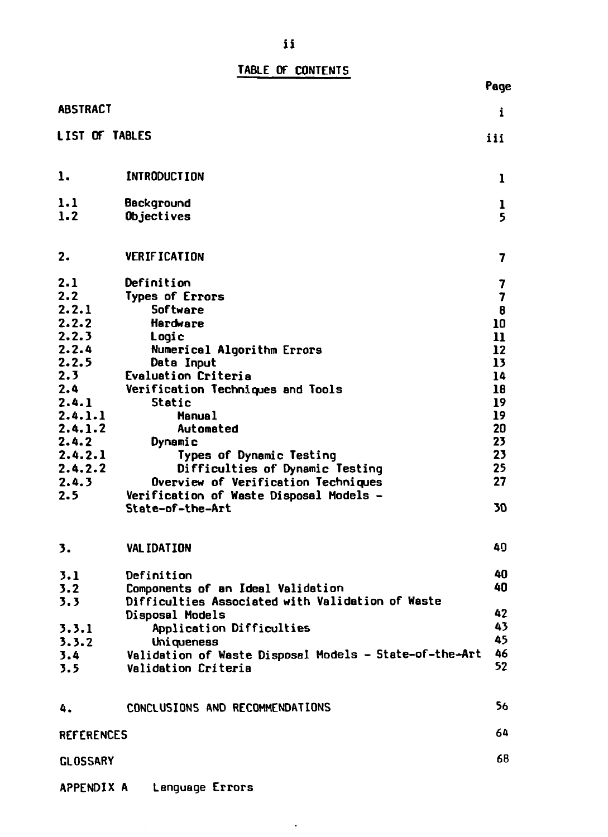# **TABLE OF CONTENTS**

|                       |                                                             | Page               |
|-----------------------|-------------------------------------------------------------|--------------------|
| <b>ABSTRACT</b>       |                                                             | i                  |
| <b>LIST OF TABLES</b> |                                                             | iii                |
| ı.                    | <b>INTRODUCTION</b>                                         | 1                  |
| 1.1<br>1.2            | Background<br>Objectives                                    | ı<br>5             |
| 2.                    | <b>VERIFICATION</b>                                         | 7                  |
| 2.1                   | Definition                                                  | 7                  |
| 2.2                   | <b>Types of Errors</b>                                      | 7                  |
| 2.2.1<br>2.2.2        | Software<br><b>Hardware</b>                                 | 8                  |
| 2.2.3                 | Logic                                                       | 10<br>$\mathbf{n}$ |
| 2.2.4                 | Numerical Algorithm Errors                                  | 12                 |
| 2.2.5                 | Data Input                                                  | 13                 |
| 2.3                   | <b>Evaluation Criteria</b>                                  | 14                 |
| 2.4                   | Verification Techniques and Tools                           | 18                 |
| 2.4.1                 | Static                                                      | 19                 |
| 2.4.1.1               | <b>Manual</b>                                               | 19                 |
| 2.4.1.2               | Automated                                                   | 20                 |
| 2.4.2                 | Dynamic                                                     | 23                 |
| 2.4.2.1               | Types of Dynamic Testing                                    | 23                 |
| 2.4.2.2               | Difficulties of Dynamic Testing                             | 25                 |
| 2.4.3                 | Overview of Verification Techniques                         | 27                 |
| 2.5                   | Verification of Waste Disposal Models -<br>State-of-the-Art | 30                 |
| 3.                    | VAL IDATION                                                 | 40                 |
| 3.1                   | Definition                                                  | 40                 |
| 3.2                   | Components of an Ideal Validation                           | 40                 |
| 3.3                   | Difficulties Associated with Validation of Waste            |                    |
|                       | Disposal Models                                             | 42                 |
| 3.3.1                 | Application Difficulties                                    | 43                 |
| 3.3.2                 | Uniqueness                                                  | 45                 |
| 3.4                   | Validation of Waste Disposal Models - State-of-the-Art      | 46                 |
| 3.5                   | Validation Criteria                                         | 52                 |
| 4.                    | CONCLUSIONS AND RECOMMENDATIONS                             | 56                 |
| <b>REFERENCES</b>     |                                                             | 64                 |
| <b>GLOSSARY</b>       |                                                             | 68                 |
| APPENDIX A            | Language Errors                                             |                    |

 $\langle \cdot \rangle$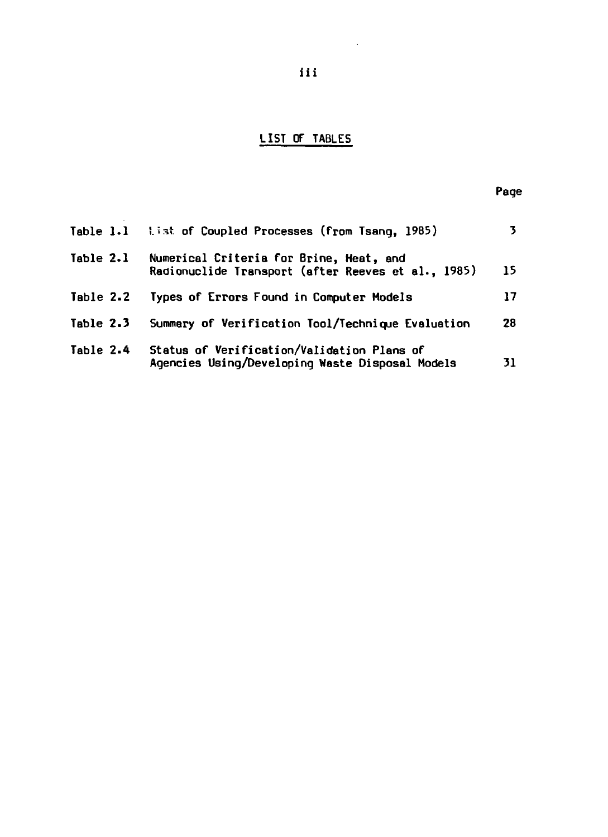# **LIST OF TABLES**

| Table 1.1 | list of Coupled Processes (from Tsang, 1985)                                                  | 3  |
|-----------|-----------------------------------------------------------------------------------------------|----|
| Table 2.1 | Numerical Criteria for Brine, Heat, and<br>Radionuclide Transport (after Reeves et al., 1985) | 15 |
| Table 2.2 | Types of Errors Found in Computer Models                                                      | 17 |
| Table 2.3 | Summary of Verification Tool/Technique Evaluation                                             | 28 |
| Table 2.4 | Status of Verification/Validation Plans of<br>Agencies Using/Developing Waste Disposal Models | 31 |

 $\sim 10^{-1}$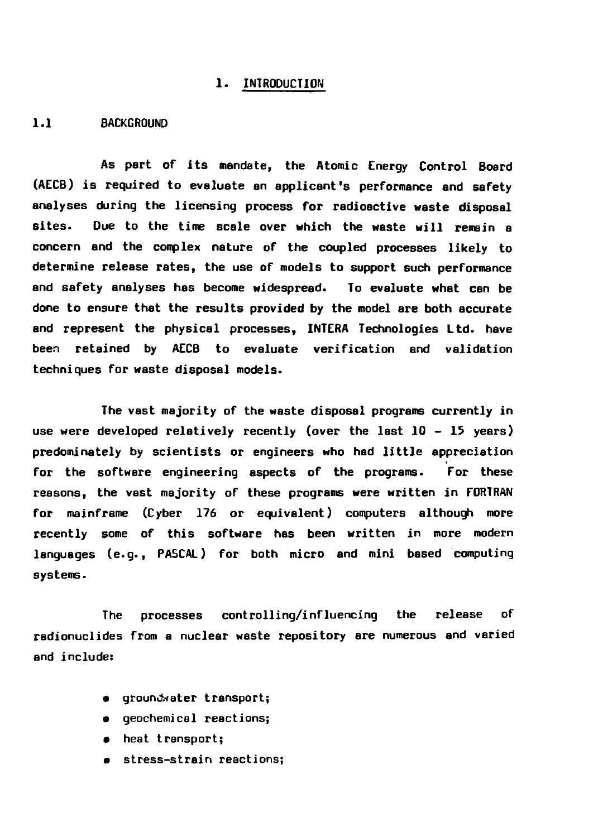#### **1. INTRODUCTION**

### **1.1 BACKGROUND**

**As pert of its mandate, the Atomic Energy Control Board (AECB) is required to evaluate an applicant's performance and safety analyses during the licensing process for radioactive waste disposal sites. Due to the time scale over which the waste will remain e concern and the complex nature of the coupled processes likely to determine release rates, the use of models to support such performance and safety analyses has become widespread. To evaluate what can be done to ensure that the results provided by the model are both accurate and represent the physical processes, INTERA Technologies Ltd. have been retained by AECB to evaluate verification and validation techniques for waste disposal models.**

**The vast majority of the waste disposal programs currently in use were developed relatively recently (over the last 10 - 15 years) predominately by scientists or engineers who had little appreciation for the software engineering aspects of the programs. For these reasons, the vast majority of these programs were written in FORTRAN for mainframe (Cyber 176 or equivalent) computers although more recently some of this software has been written in more modern languages (e.g., PASCAL) for both micro and mini based computing systems.**

**The processes controlling/influencing the release of radionuclides from a nuclear waste repository are numerous and varied and include:**

- **•** groundwater transport;
- **geochemicel reactions;**
- **« heat transport;**
- **stress-strain reactions;**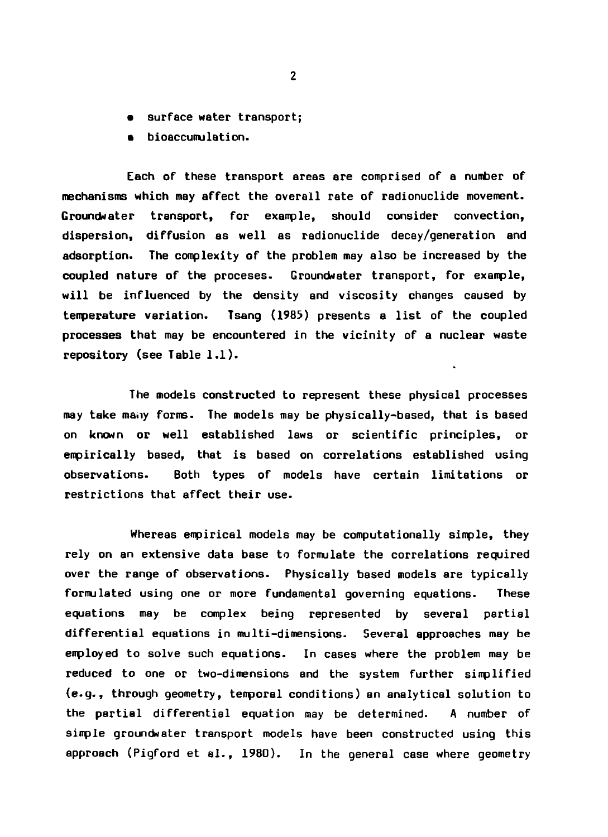- **surface water transport;**
- **bioaccumulation.**

**Each of these transport areas are comprised of a number of mechanisms which may affect the overall rate of radionuclide movement. Groundwater transport, for example, should consider convection, dispersion, diffusion as well as radionuclide decey/generation and adsorption. The complexity of the problem may also be increased by the coupled nature of the proceses. Groundwater transport, for example, will be influenced by the density and viscosity changes caused by temperature variation. Tsang (1983) presents a list of the coupled processes that may be encountered in the vicinity of a nuclear waste repository (see Table 1.1).**

**The models constructed to represent these physical processes may take many forms. The models may be physically-based, that is based on known or well established laws or scientific principles, or empirically based, that is based on correlations established using observations. Both types of models have certain limitations or restrictions that affect their use.**

**Whereas empirical models may be computationally simple, they rely on an extensive data base to formulate the correlations required over the range of observations. Physically based models are typically formulated using one or more fundamental governing equations. These equations may be complex being represented by several partial differential equations in multi-dimensions. Several approaches may be employed to solve such equations. In cases where the problem may be reduced to one or two-dimensions and the system further simplified (e.g., through geometry, temporal conditions) an analytical solution to the partial differential equation may be determined. A number of simple groundwater transport models have been constructed using this approach (Pigford et al., 1980). In the general case where geometry**

 $\overline{2}$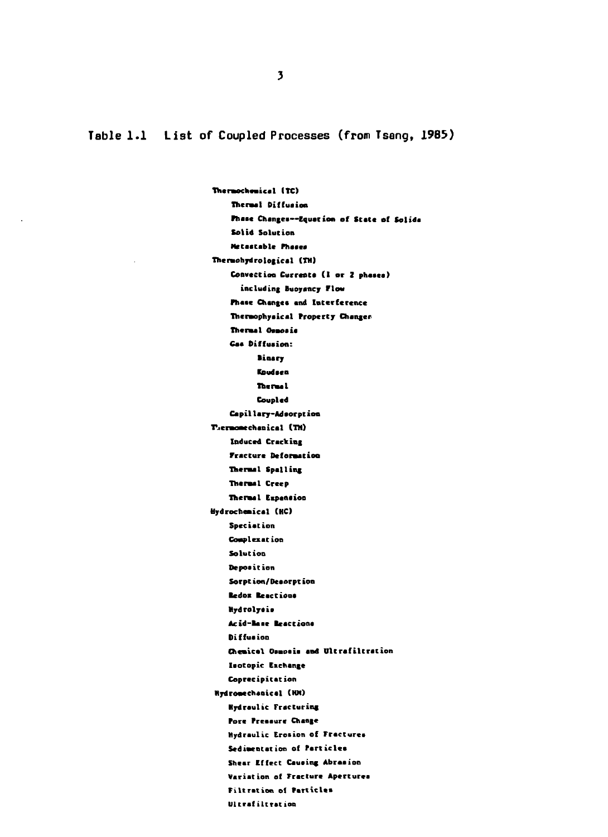**Table 1.1 List of Coupled Processes (from Tseng, 1985)**

**Tneraochamical (TC) Thermal Diffusion Phaac Changea—Equation of State of Solide Solid Solution Metaatablc rhaeca Thermohydrological (TH) Convection Currcate (1 or Z phaaea) including Buoyancy Flow Phase Changea and Interference Tnermophyaical Property Changer Thermal Oaaoaia Caa Diffusion: Binary budeeo Thermal Coupled Capillary-Adeorpt ion r.ermomtchanical (TH) Induced Cracking Fracture Deformation Thermal Spelling Thermal Creep Thermal Eipanaion Hydroehemical (HC) Spec i at ion Complexation Solution Deposition Sorpt ion/Deaorpt ion Bedox Beactiooa Mydrolyaia Acid-Base Beacttona Oi ffua ion Chemical Oamoaia and Ultrafiltration laotopic Eschange Coprecipitation Hydromechaoical (KM) Hydraulic Fracturing Pore Preaaure Change Hydraulic Erosion of Fractures Sedimentation of farticlca Shear Effect Cauaing Abraaion** Variation of Fracture Apertures **Filtration of Particlea Ultrafiltration**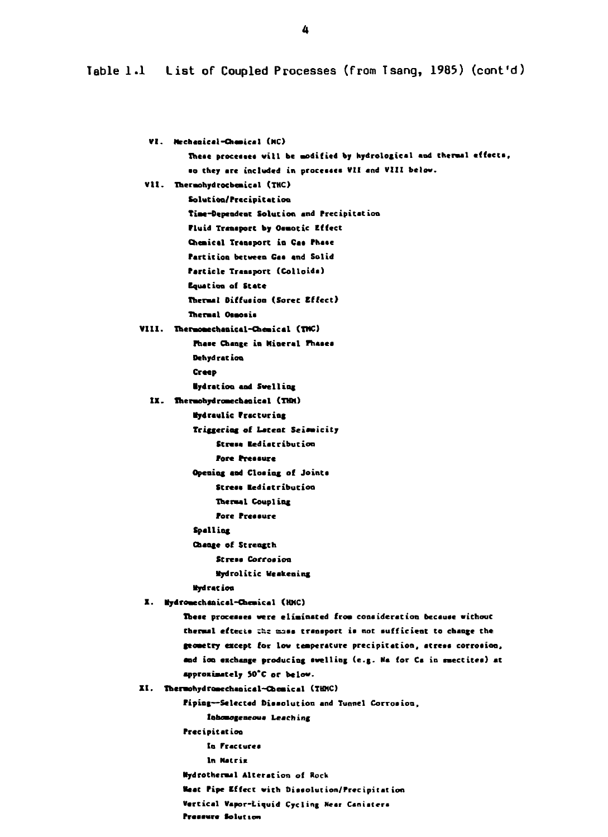Table 1.1 List of Coupled Processes (from Tsang, 1985) (cont'd)

**V I . fechaaical-Oiaatcal (HC>** These processes will be modified by hydrological and thermal effects, **eo they arc included in procestea VII and VII I below. VII . TheraohydrochcBical (THC) Solut ion/Prccipitaiion Tiae-Oepeadcac Solution and Precipitation Fluid Traaapsrt by Oamotic Effect Chemical Transport in Cat Fhaee Partition between Gas and Solid farticle Tranaport (Colloida) Equation of State Iheraal Oiffuaioo (Sorer, Effect) Thermal Ouoaie VIII . Thermoaechaoical-Chemical (TMC) Phaae Change in Mineral Phaeea Dehydration Creep •ydration and Swelling IX. Thermohydromecheoical (TWO Hydraulic Fracturing Triggering of Latent Seimicity Streaa lediatribution Fore Fretaure Opening and Closing of Joints Stress Rediatribution Tberaal Coupling Fore Freaaure Spalling Change of Strength Streaa Corroaion •ydrolitic Weakening •ydracion X. •ydroaechanical-Cheaiical (HHC) Tbeae proceaaea were eliminated from consideration becauae withouC Cheraal eftecia ziiz Ban tranaport ia not aufficient to change Che geoaetry except for low ceaperature precipitation, atreaa corrotion,** and ion exchange producing swelling (e.g. Ma for Ca in suectites) at **approximately SO'C or below. X I . Thenohydroawchaoical-Cbeaiical (THMC) Fiping—Selected Diaaolution and Tunnel Corroaion, labomogeneous** Leaching **Freeipitation In Fracturea In Matrix Mydrothermal Alteration of Rock Weat Pipe Effect with Diasolution/Precipitation Vertical Vapor-Liquid Cycling Near Caniitera Praeeure lolutton**

 $\Delta$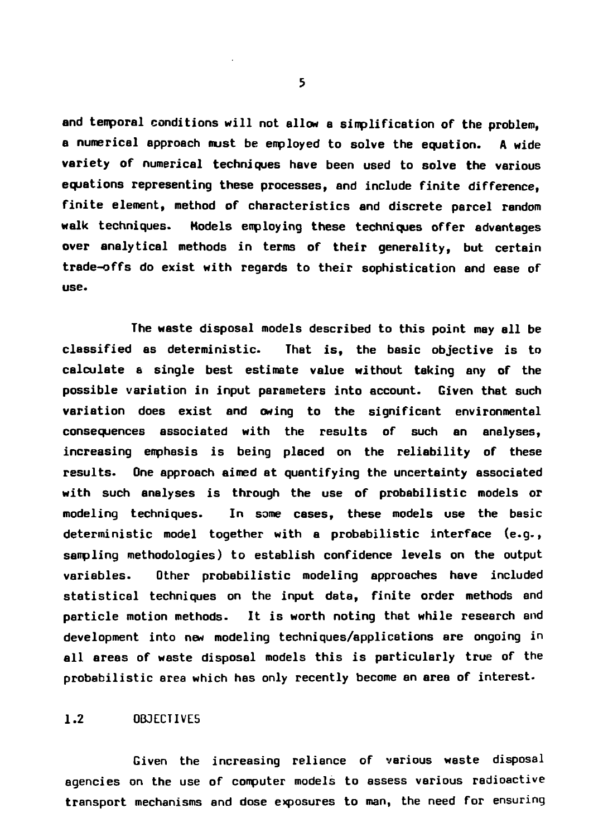**and temporal conditions will not allow a simplification of the problem, a numerical approach must be employed to solve the equation. A wide variety of numerical techniques have been used to solve the various equations representing these processes, and include finite difference, finite element, method of characteristics and discrete parcel random walk techniques. Models employing these techniques offer advantages over analytical methods in terms of their generality, but certain trade-offs do exist with regards to their sophistication and ease of use.**

**The waste disposal models described to this point may all be classified as deterministic. That is, the basic objective is to calculate a single best estimate value without taking any of the possible variation in input parameters into account. Given that such variation does exist end owing to the significant environmental consequences associated with the results of such an analyses, increasing emphasis is being placed on the reliability of these results. One approach aimed at quantifying the uncertainty associated with such analyses is through the use of probabilistic models or modeling techniques. In some cases, these models use the basic deterministic model together with a probabilistic interface (e.g., sampling methodologies) to establish confidence levels on the output variables. Other probabilistic modeling approaches have included statistical techniques on the input data, finite order methods and particle motion methods. It is worth noting that while research and development into new modeling techniques/applications are ongoing in all areas of waste disposal models this is particularly true of the probabilistic area which has only recently become an area of interest.**

#### **1.2 OBJECTIVES**

**Given the increasing reliance of various waste disposal agencies on the use of computer models to assess various radioactive transport mechanisms and dose exposures to man, the need for ensuring**

 $5<sup>1</sup>$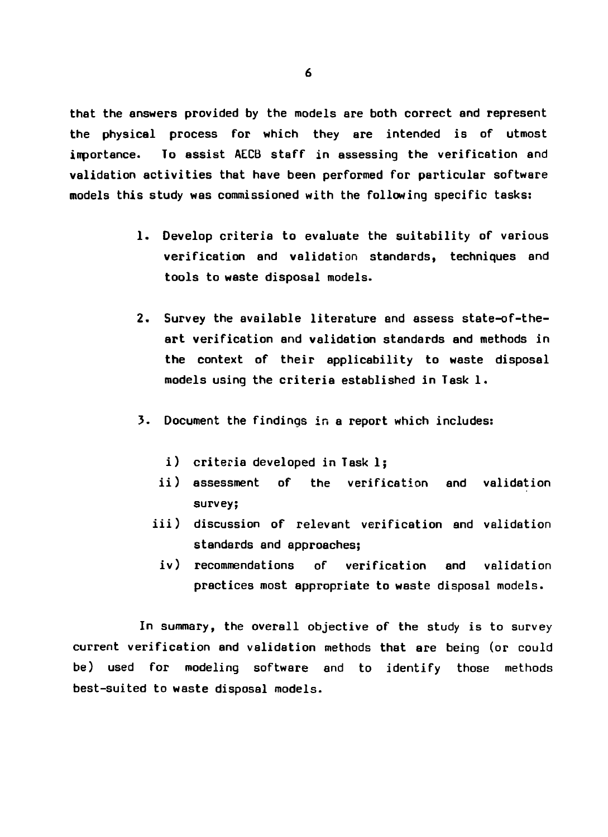**that the answers provided by the models are both correct and represent the physical process for which they are intended is of utmost importance. To assist AECB staff in assessing the verification and validation activities that have been performed for particular software models this study was commissioned with the following specific tasks:**

- **1. Develop criteria to evaluate the suitability of various verification and validation standards, techniques and tools to waste disposal models.**
- **2. Survey the available literature end assess state-of-theart verification and validation standards and methods in the context of their applicability to waste disposal models using the criteria established in Task 1.**
- **3. Document the findings in a report which includes:**
	- **i) criteria developed in Task 1;**
	- **ii) assessment of the verification and validation survey;**
	- **iii) discussion of relevant verification and validation standards and approaches;**
		- **iv) recommendations of verification and validation practices most appropriate to waste disposal models.**

**In summary, the overall objective of the study is to survey current verification and validation methods that are being (or could be) used for modeling software and to identify those methods best-suited to waste disposal models.**

6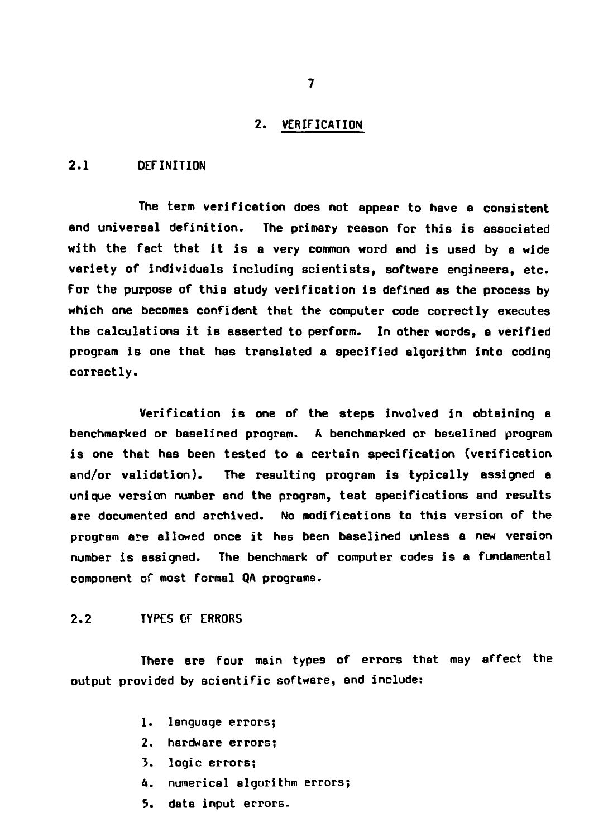#### **2 . VERIFICATION**

### **2.1 DEFINITION**

**The term verification does not appear to have a consistent and universal definition. The primary reason for this is associated with the fact that it is a very common word end is used by a wide variety of individuals including scientists, software engineers, etc. For the purpose of this study verification is defined as the process by which one becomes confident that the computer code correctly executes the calculations it is asserted to perform. In other words, a verified program is one that has translated a specified algorithm into coding correctly.**

**Verification is one of the steps involved in obtaining a benchmarked or baselined program. A benchmarked or beselined program is one that has been tested to a certain specification (verification and/or validation). The resulting program is typically assigned a unique version number and the program, test specifications and results are documented and archived. No modifications to this version of the program are allowed once it has been baselined unless a new version number is assigned. The benchmark of computer codes is a fundamental component of most formal QA programs.**

### **2.2 TYPES DF ERRORS**

**There are four main types of errors that may affect the output provided by scientific software, and include:**

- **1. language errors;**
- **2. hardware errors;**
- **3. logic errors;**
- **4. numerical algorithm errors;**
- **5. data input errors.**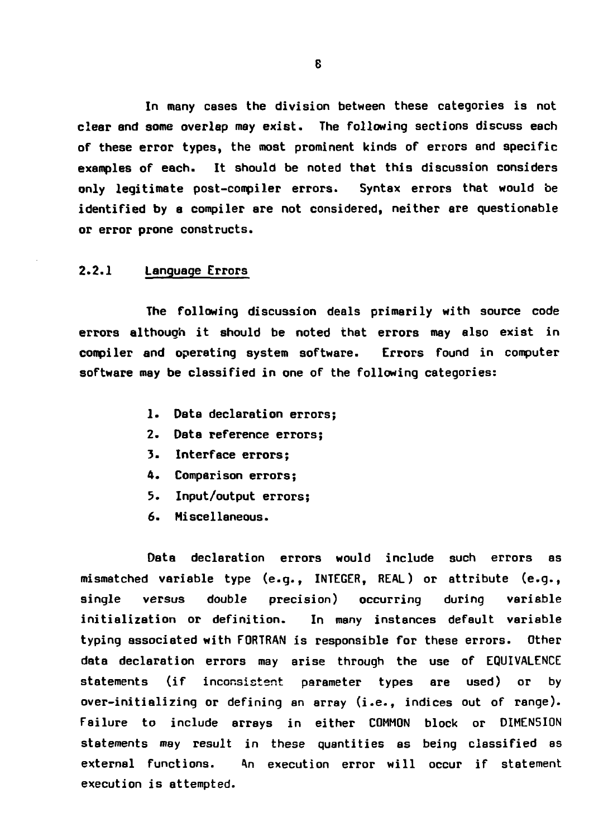**In many cases the division between these categories is not clear and some overlap may exist. The following sections discuss each of these error types, the most prominent kinds of errors and specific examples of each. It should be noted that this discussion considers only legitimate post-compiler errors. Syntax errors that would be identified by a compiler are not considered, neither are questionable or error prone constructs.**

### **2.2.1 Language Errors**

**The following discussion deals primarily with source code errors although it should be noted that errors may also exist in compiler and operating system software. Errors found in computer software may be classified in one of the following categories:**

- **1. Data declaration errors;**
- **2. Data reference errors;**
- **3. Interface errors;**
- **4. Comparison errors;**
- **5. Input/output errors;**
- **6. Miscellaneous.**

**Data declaration errors would include such errors as mismatched variable type (e.g., INTEGER, REAL) or attribute (e.g., single versus double precision) occurring during variable initialization or definition. In many instances default variable typing associated with FORTRAN is responsible for these errors. Other data declaration errors may arise through the use of EQUIVALENCE statements (if inconsistent parameter types are used) or by over-initializing or defining an array (i.e., indices out of range). Failure to include arrays in either COMMON block or DIMENSION statements may result in these quantities as being classified as external functions. An execution error will occur if statement execution is attempted.**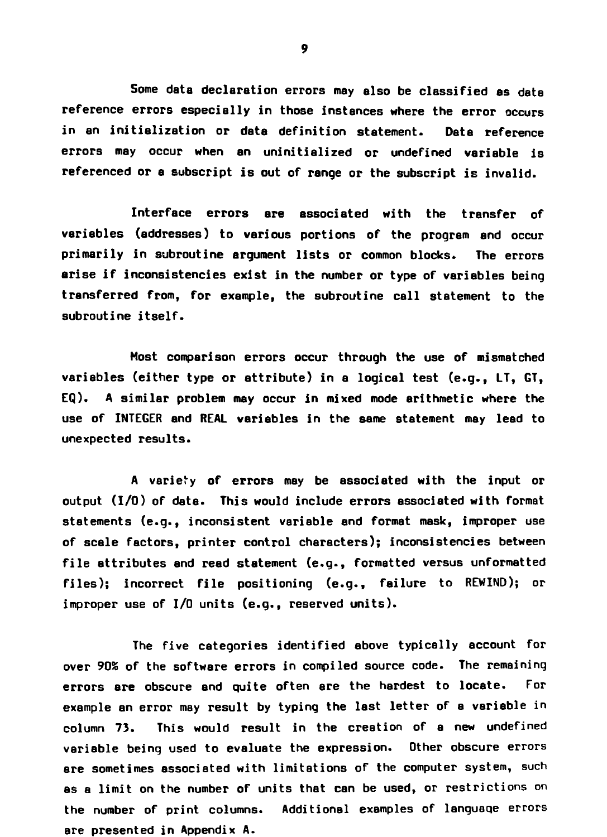**Some data declaration errors may also be classified es data reference errors especially in those instances where the error occurs in an initialization or data definition statement. Data reference errors may occur when an uninitialized or undefined variable is referenced or a subscript is out of range or the subscript is invalid.**

**Interface errors are associated with the transfer of variables (addresses) to various portions of the program and occur primarily in subroutine argument lists or common blocks. The errors arise if inconsistencies exist in the number or type of variables being transferred from, for example, the subroutine call statement to the subroutine itself.**

**Most comparison errors occur through the use of mismatched variables (either type or attribute) in a logical test (e.g., LT, GT, EQ). A similar problem may occur in mixed mode arithmetic where the use of INTEGER and REAL variables in the seme statement may lead to unexpected results.**

**A variety of errors may be associated with the input or output (I/O) of data. This would include errors associated with format statements (e.g., inconsistent variable and format mask, improper use of scale factors, printer control characters); inconsistencies between file attributes and read statement (e.g., formatted versus unformatted files); incorrect file positioning (e.g., failure to REWIND); or improper use of I/O units (e.g., reserved units).**

**The five categories identified above typically account for over 90S of the software errors in compiled source code. The remaining errors are obscure and quite often are the hardest to locate. For example Bn error may result by typing the last letter of a variable in column 73. This would result in the creation of a new undefined variable being used to evaluate the expression. Other obscure errors are sometimes associated with limitations of the computer system, such as a limit on the number of units that can be used, or restrictions on the number of print columns. Additional examples of languaqe errors are presented in Appendix A.**

9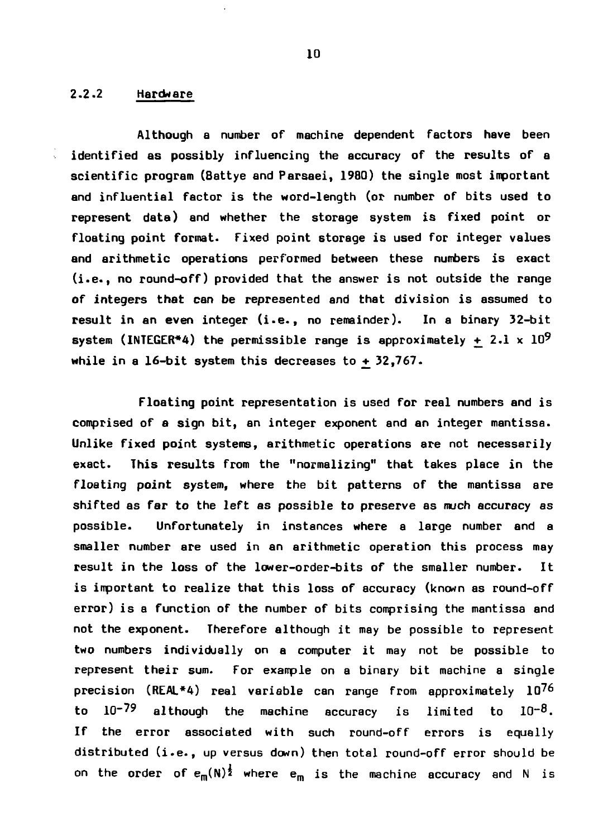### **2.2.2 Hardware**

**Although a number of machine dependent factors have been identified as possibly influencing the accuracy of the results of a scientific program (Battye and Parsaei, 1980) the single most important and influential factor is the word-length (or number of bits used to represent data) and whether the storage system is fixed point or floating point format. Fixed point storage is used for integer values and arithmetic operations performed between these numbers is exact (i.e., no round-off) provided that the answer is not outside the range of integers that can be represented and that division is assumed to result in an even integer (i.e., no remainder). In a binary 32-bit** system (INTEGER\*4) the permissible range is approximately  $+2.1 \times 10^9$ **while in a 16-bit system this decreases to +\_ 32,767.**

**Floating point representation is used for real numbers and is comprised of a sign bit, an integer exponent and an integer mantissa. Unlike fixed point systems, arithmetic operations are not necessarily exact. This results from the "normalizing" that takes place in the floating point system, where the bit patterns of the mantissa are shifted as far to the left as possible to preserve as much accuracy as possible. Unfortunately in instances where a large number and a smaller number are used in an arithmetic operation this process may result in the loss of the lower-order-bits of the smaller number. It is important to realize that this loss of accuracy (known as round-off error) is a function of the number of bits comprising the mantissa and not the exponent. Therefore although it may be possible to represent two numbers individually on a computer it may not be possible to represent their sum. For example on a binary bit machine a single precision (REAL\*4) real variable can range from approximately 10^6** to  $10^{-79}$  although the machine accuracy is limited to  $10^{-8}$ . **If the error associated with such round-off errors is equally distributed (i.e., up versus down) then total round-off error should be** on the order of  $e_m(N)^{\frac{1}{2}}$  where  $e_m$  is the machine accuracy and N is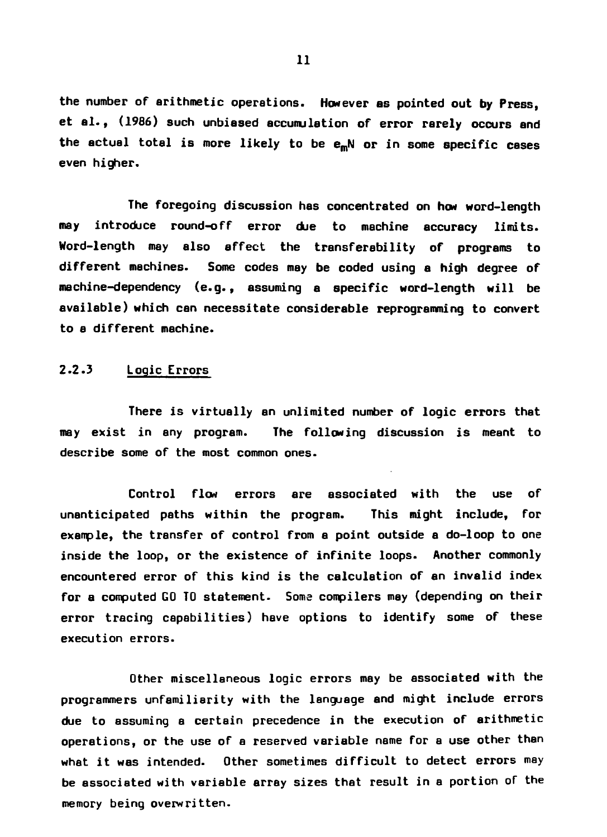**the number of arithmetic operations. However as pointed out by Press, et al., (1986) such unbiased accumulation of error rarely occurs and the actual total is more likely to be emN or in some specific cases even higher.**

**The foregoing discussion has concentrated on how word-length may introduce round-off error due to machine accuracy limits. Word-length may also affect the transferability of programs to different machines. Some codes may be coded using a high degree of machine-dependency (e.g., assuming a specific word-length will be available) which can necessitate considerable reprogramming to convert to a different machine.**

### **2.2.3 Logic Errors**

**There is virtually an unlimited number of logic errors that may exist in any program. The following discussion is meant to describe some of the most common ones.**

**Control flow errors are associated with the use of unanticipated paths within the program. This might include, for example, the transfer of control from a point outside a do-loop to one inside the loop, or the existence of infinite loops. Another commonly encountered error of this kind is the calculation of an invalid index for a computed GO TO statement. Some compilers may (depending on their error tracing capabilities) have options to identify some of these execution errors.**

**Other miscellaneous logic errors may be associated with the programmers unfamiliarity with the language and might include errors due to assuming a certain precedence in the execution of arithmetic operations, or the use of a reserved variable name for a use other than what it was intended. Other sometimes difficult to detect errors may be associated with variable array sizes that result in a portion of the memory being overwritten.**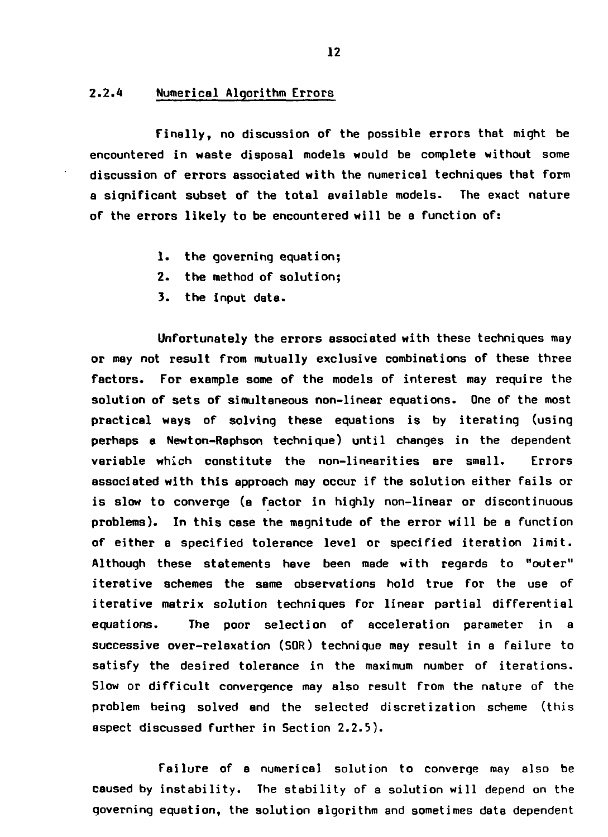#### **2.2.4 Numerical Algorithm Errors**

**Finally, no discussion of the possible errors that might be encountered in waste disposal models would be complete without some discussion of errors associated with the numerical techniques that form a significant subset of the total available models. The exact nature of the errors likely to be encountered will be a function of:**

- **1. the governing equation;**
- **2. the method of solution;**
- **3. the input data.**

**Unfortunately the errors associated with these techniques may or may not result from mutually exclusive combinations of these three factors. For example some of the models of interest may require the solution of sets of simultaneous non-linear equations. One of the most practical ways of solving these equations is by iterating (using perhaps a Newton-Raphson technique) until changes in the dependent variable which constitute the non-linearities are small. Errors associated with this approach may occur if the solution either fails or is slow to converge (a factor in highly non-linear or discontinuous problems). In this case the magnitude of the error will be a function of either a specified tolerance level or specified iteration limit. Although these statements have been made with regards to "outer" iterative schemes the same observations hold true for the use of iterative matrix solution techniques for linear partial differential equations. The poor selection of acceleration parameter in a successive over-relaxation (SOR) technique may result in a failure to satisfy the desired tolerance in the maximum number of iterations. Slow or difficult convergence may also result from the nature of the problem being solved and the selected discretization scheme (this aspect discussed further in Section 2.2.5).**

**Failure of a numerical solution to converge may also be caused by instability. The stability of a solution will depend on the governing equation, the solution algorithm and sometimes data dependent**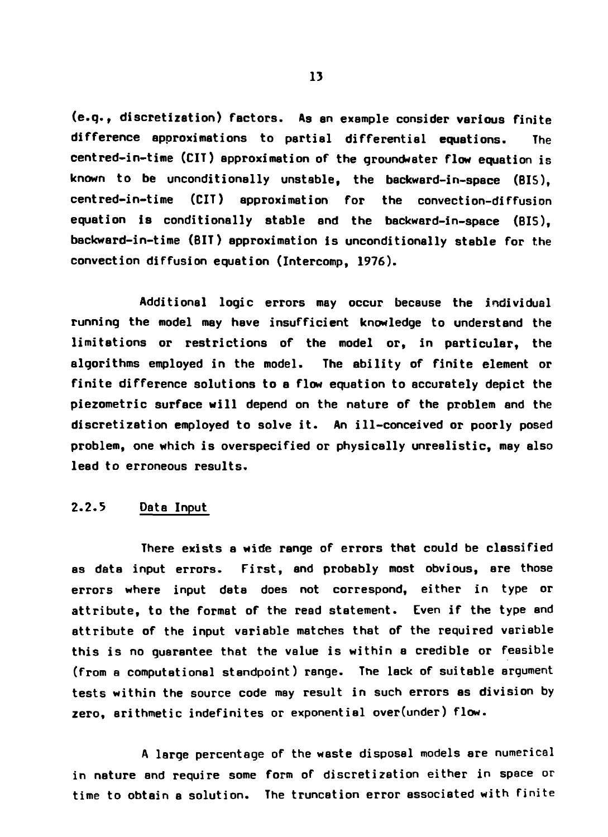**(e.q., discretization) Factors. As en example consider various finite difference approximations to partial differential equations. The centred-in-time (CIT) approximation of the groundweter flow equation is known to be unconditionally unstable, the backward-in-space (BIS), centred-in-time (CIT) approximation for the convection-diffusion equation is conditionally stable and the backward-in-space (BIS), backward-in-time (BIT) approximation is unconditionally stable for the convection diffusion equation (Intercomp, 1976).**

**Additional logic errors may occur because the individual running the model may heve insufficient knowledge to understand the limitations or restrictions of the model or, in particular, the algorithms employed in the model. The ability of finite element or finite difference solutions to a flow equation to accurately depict the piezometric surface will depend on the nature of the problem and the discretization employed to solve it. An ill-conceived or poorly posed problem, one which is overspecified or physically unrealistic, may also lead to erroneous results.**

### **2.2.5 Data Input**

**There exists a wide range of errors that could be classified as data input errors. First, and probably most obvious, are those errors where input data does not correspond, either in type or attribute, to the format of the read statement. Even if the type and attribute of the input variable matches that of the required variable this is no guarantee that the value is within a credible or feasible (from a computational standpoint) range. The lack of suitable argument tests within the source code may result in such errors as division by zero, arithmetic indefinites or exponential over(under) flow.**

**A large percentage of the waste disposal models are numerical in nature and require some form of discretization either in space or time to obtain a solution. The truncation error associated with finite**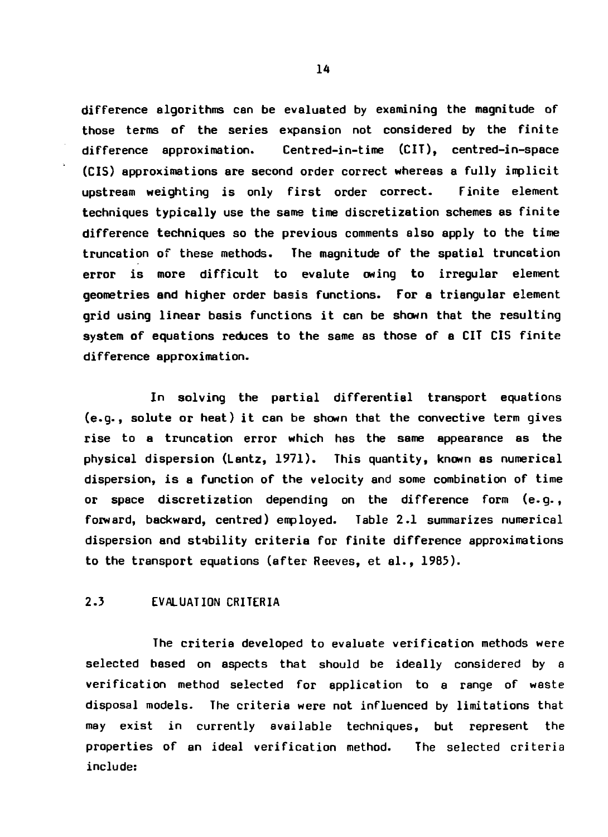**difference algorithms can be evaluated by examining the magnitude of those terms of the series expansion not considered by the finite difference approximation. Centred-in-time (CIT), centred-in-space (CIS) approximations are second order correct whereas a fully implicit upstream weighting is only first order correct. Finite element techniques typically use the same time discretization schemes as finite difference techniques so the previous comments also apply to the time truncation of these methods. The magnitude of the spatial truncation error is more difficult to evalute owing to irregular element geometries and higher order basis functions. For a triangular element grid using linear basis functions it can be shown that the resulting system of equations reduces to the same as those of a CIT CIS finite difference approximation.**

**In solving the partial differential transport equations (e.g., solute or heat) it can be shown that the convective term gives rise to a truncation error which has the same appearance as the physical dispersion (Lantz, 1971). This quantity, known as numerical dispersion, is a function of the velocity and some combination of time or space discretization depending on the difference form (e.g., forward, backward, centred) employed. Table 2.1 summarizes numerical dispersion and stability criteria for finite difference approximations to the transport equations (after Reeves, et al., 1985).**

### **2.3 EVALUATION CRITERIA**

**The criteria developed to evaluate verification methods were selected based on aspects that should be ideally considered by a verification method selected for application to a range of waste disposal models. The criteria were not influenced by limitations that may exist in currently available techniques, but represent the properties of an ideal verification method. The selected criteria include:**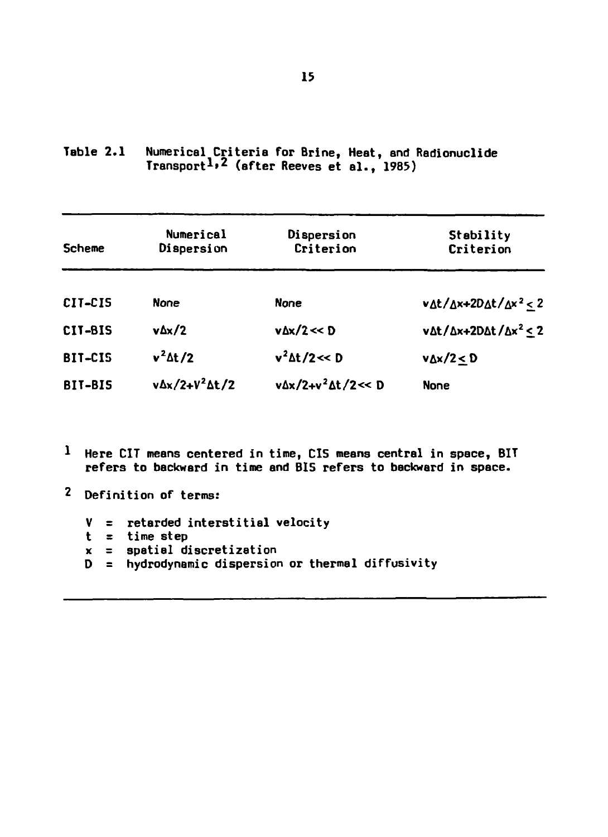| <b>Scheme</b> | Numerical<br>Dispersion     | Dispersion<br>Criterion       | Stability<br>Criterion<br>$v \Delta t / \Delta x + 2D \Delta t / \Delta x^2 < 2$ |  |  |
|---------------|-----------------------------|-------------------------------|----------------------------------------------------------------------------------|--|--|
| CIT-CIS       | None                        | None                          |                                                                                  |  |  |
| CIT-BIS       | $v \Delta x/2$              | $v \Delta x / 2 \ll D$        | $v \Delta t / \Delta x + 2D \Delta t / \Delta x^2 \leq 2$                        |  |  |
| BIT-CIS       | $v^2 \Delta t/2$            | $v^2 \Delta t / 2 \ll D$      | $v_{\Delta x}/2 < D$                                                             |  |  |
| BIT-BIS       | $v\Delta x/2+V^2\Delta t/2$ | v∆x/2+v <sup>2</sup> ∆t/2<< D | None                                                                             |  |  |

**Table 2.1 Numerical Criteria for Brine, Heat, and Radionuclide Transport<sup>1</sup>\* <sup>2</sup> (after Reeves et al., 1985)**

- **Here CIT means centered in time, CIS means central in space, BIT refers to backward in time and BIS refers to backward in space.**
- **Definition of terms:**
	- **V = retarded interstitial velocity**
	- **t = time step**
	- **x = spatial discretization**
	- **D = hydrodynamic dispersion or thermal diffusivity**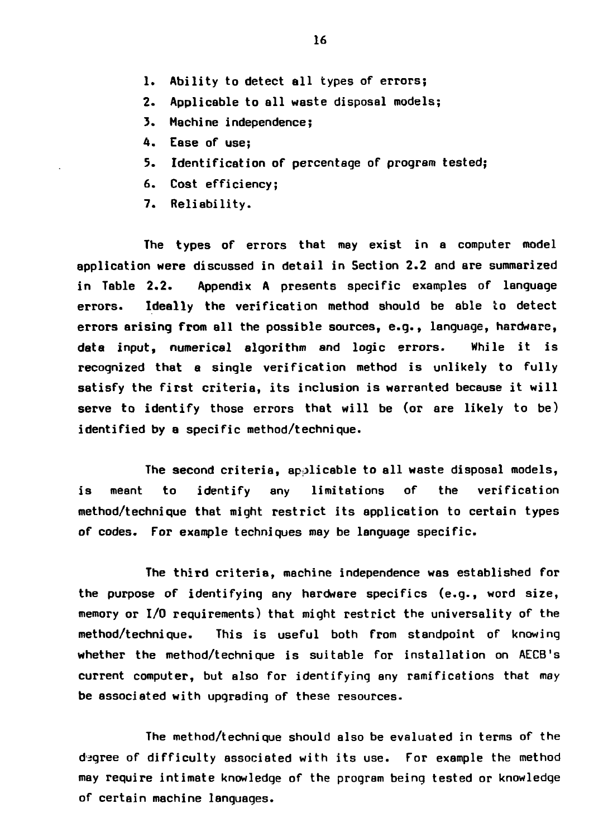- **1. Ability to detect all types of errors;**
- **2. Applicable to all waste disposal models;**
- **3. Machine independence;**
- **4. Ease of use;**
- **5. Identification of percentage of program tested;**
- **6. Cost efficiency;**
- **7. Reliability.**

**The types of errors that may exist in a computer model application were discussed in detail in Section 2.2 and are summarized in Table 2.2. Appendix A presents specific examples of language errors. Ideally the verification method should be able to detect errors arising from all the possible sources, e.g., language, hardware, data input, numerical algorithm and logic errors. While it is recognized that a single verification method is unlikely to fully satisfy the first criteria, its inclusion is warranted because it will serve to identify those errors that will be (or are likely to be) identified by a specific method/technigue.**

**The second criteria, applicable to all waste disposal models, is meant to identify any limitations of the verification method/technique that might restrict its application to certain types of codes. For example techniques may be language specific.**

**The third criteria, machine independence was established for the purpose of identifying any hardware specifics (e.g., word size, memory or I/O requirements) that might restrict the universality of the method/technique. This is useful both from standpoint of knowing whether the method/technique is suitable for installation on AECB's current computer, but also for identifying any ramifications that may be associated with upgrading of these resources.**

**The method/technique should also be evaluated in terms of the degree of difficulty associated with its use. for example the method may require intimate knowledge of the program being tested or knowledge of certain machine languages.**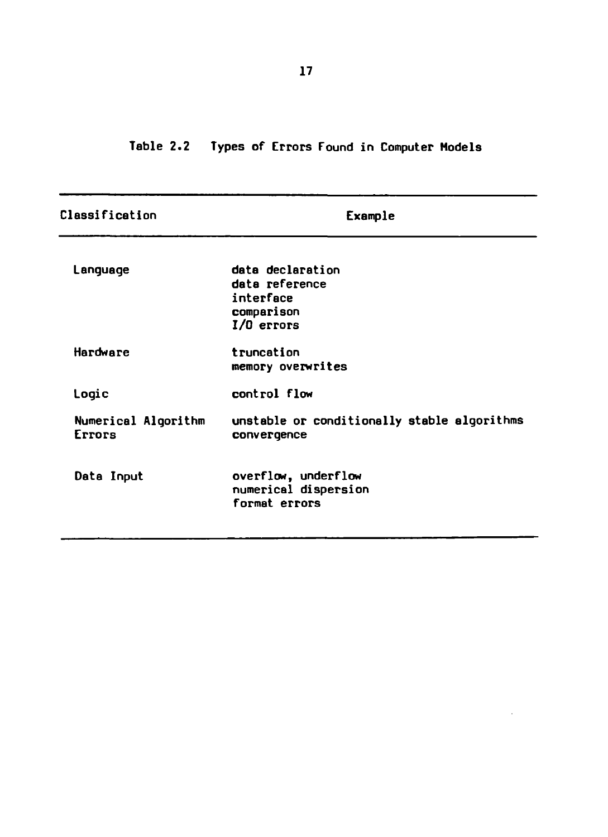**Table 2.2 Types of Errors Found in Computer Models**

| Classification                | Example                                                                       |  |  |  |  |  |
|-------------------------------|-------------------------------------------------------------------------------|--|--|--|--|--|
| Language                      | data declaration<br>data reference<br>interface<br>comparison<br>$1/0$ errors |  |  |  |  |  |
| <b>Hardware</b>               | truncation<br>memory overwrites                                               |  |  |  |  |  |
| Logic                         | control flow                                                                  |  |  |  |  |  |
| Numerical Algorithm<br>Errors | unstable or conditionally stable algorithms<br>convergence                    |  |  |  |  |  |
| Data Input                    | overflow, underflow<br>numerical dispersion<br>format errors                  |  |  |  |  |  |

 $\bar{z}$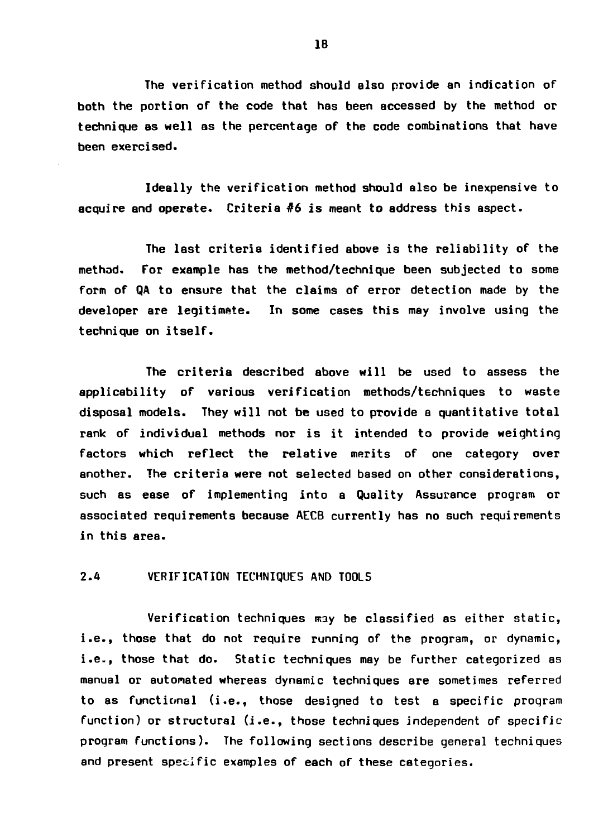**The verification method should also provide an indication of both the portion of the code that has been accessed by the method or technique as well as the percentage of the code combinations that have been exercised.**

**Ideally the verification method should also be inexpensive to acquire and operate. Criteria #6 is meant to address this aspect.**

**The last criteria identified above is the reliability of the method. For example has the method/technique been subjected to some form of QA to ensure that the claims of error detection made by the developer are legitimate. In some cases this may involve using the technique on itself.**

**The criteria described above will be used to assess the applicability of various verification methods/techniques to waste disposal models. They will not be used to pTovide a quantitative total rank of individual methods nor is it intended to provide weighting factors which reflect the relative merits of one category over another. The criteria were not selected based on other considerations, such as ease of implementing into a Quality Assurance program or associated requirements because AECB currently has no such requirements in this area.**

### **2.4 VERIFICATION TECHNIQUES AND TOOLS**

**Verification techniques may be classified as either static, i.e., those that do not require running of the program, or dynamic, i.e., those that do. Static techniques may be further categorized as manual or automated whereas dynamic techniques are sometimes referred to as functional (i.e., those designed to test a specific proqram function) or structural (i.e., those techniques independent of specific program functions). The following sections describe general techniques and present specific examples of each of these categories.**

IB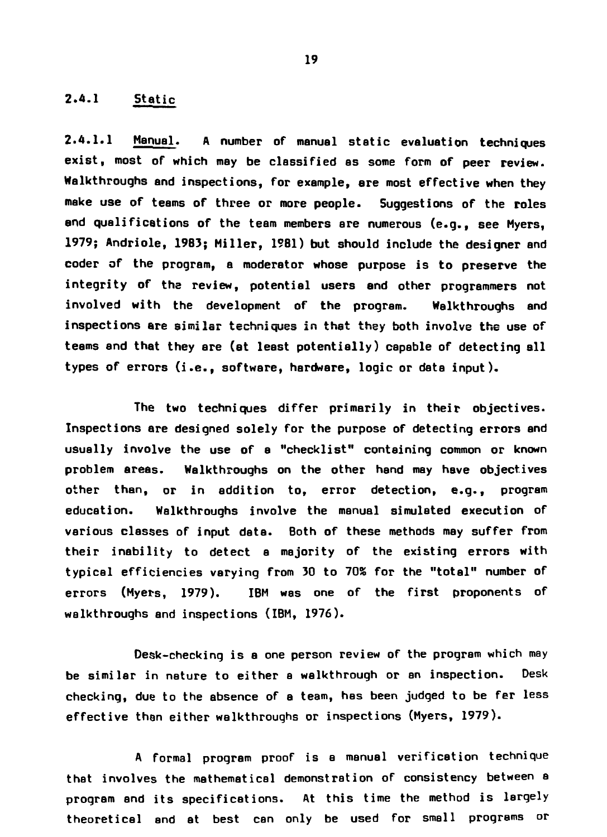## **2.4.1 Static**

2.4.1.1 Manual. A number of manual static evaluation techniques **exist, most of which may be classified as some form of peer review. Walkthroughs and inspections, for example, are most effective when they make use of teams of three or more people. Suggestions of the roles and qualifications of the team members ere numerous (e.g., see Myers, 1979; Andriole, 19B3; Miller, 1981) but should include the designer and coder of the program, a moderator whose purpose is to preserve the integrity of the review, potential users and other programmers not involved with the development of the program. Walkthroughs and inspections are similar techniques in that they both involve the use of teams and that they are (at least potentially) capable of detecting all types of errors (i.e., software, hardware, logic or data input).**

**The two techniques differ primarily in their objectives. Inspections are designed solely for the purpose of detecting errors and usually involve the use of a "checklist" containing common or known problem areas. Walkthroughs on the other hand may have objectives other than, or in addition to, error detection, e.g., program education. Walkthroughs involve the manual simulated execution of various classes of input data. Both of these methods may suffer from their inability to detect a majority of the existing errors with typical efficiencies varying from 30 to 70S for the "total" number of errors (Myers, 1979). IBM was one of the first proponents of walkthroughs and inspections (IBM, 1976).**

**Desk-checking is a one person review of the program which may be similar in nature to either a walkthrough or an inspection. Desk checking, due to the absence of a team, has been judged to be fer less effective then either walkthroughs or inspections (Myers, 1979).**

**A formal program proof is a manual verification technique that involves the mathematical demonstration of consistency between a program and its specifications. At this time the method is largely theoretical and at best can only be used for small programs or**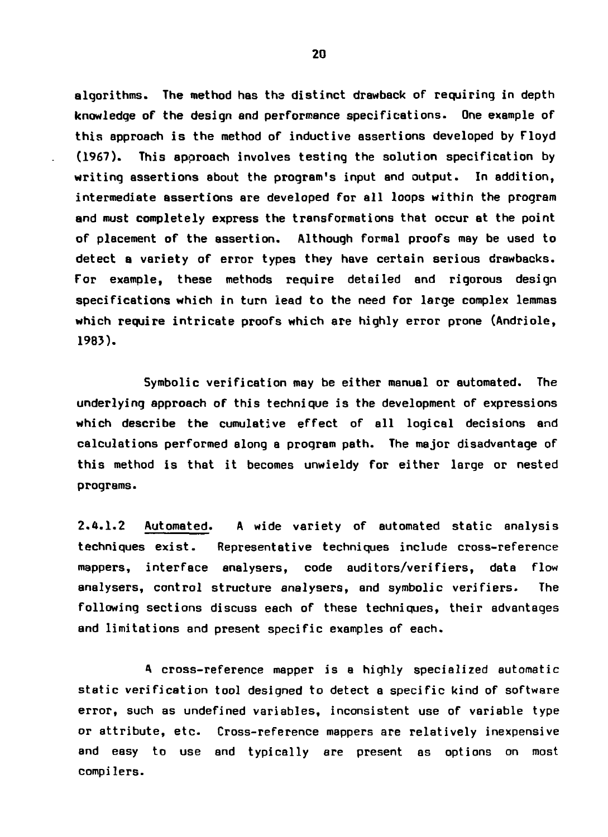**algorithms. The method has the distinct drawback of requiring in depth knowledge of the design and performance specifications. One example of this approach is the method of inductive assertions developed by Floyd (1967). This approach involves testing the solution specification by writing assertions about the program's input and output. In addition, intermediate assertions are developed for all loops within the program and must completely express the transformations that occur at the point of placement of the assertion. Although formal proofs may be used to detect a variety of error types they have certain serious drawbacks. For example, these methods require detailed and rigorous design specifications which in turn lead to the need for large complex lemmas which require intricate proofs which are highly error prone (Andriole, 1983).**

**Symbolic verification may be either manual or automated. The underlying approach of this technique is the development of expressions which describe the cumulative effect of all logical decisions and calculations performed along a program path. The major disadvantage of this method is that it becomes unwieldy for either large or nested programs.**

**2.4.1.2 Automated. A wide variety of automated static analysis techniques exist. Representative techniques include cross-reference mappers, interface analysers, code auditors/verifiers, data flow analysers, control structure analysers, and symbolic verifiers. The following sections discuss each of these techniques, their advantages and limitations and present specific examples of each.**

**A cross-reference mapper is a highly specialized automatic static verification tool designed to detect a specific kind of software error, such as undefined variables, inconsistent use of variable type or attribute, etc- Cross-reference mappers are relatively inexpensive and easy to use and typically are present as options on most compilers.**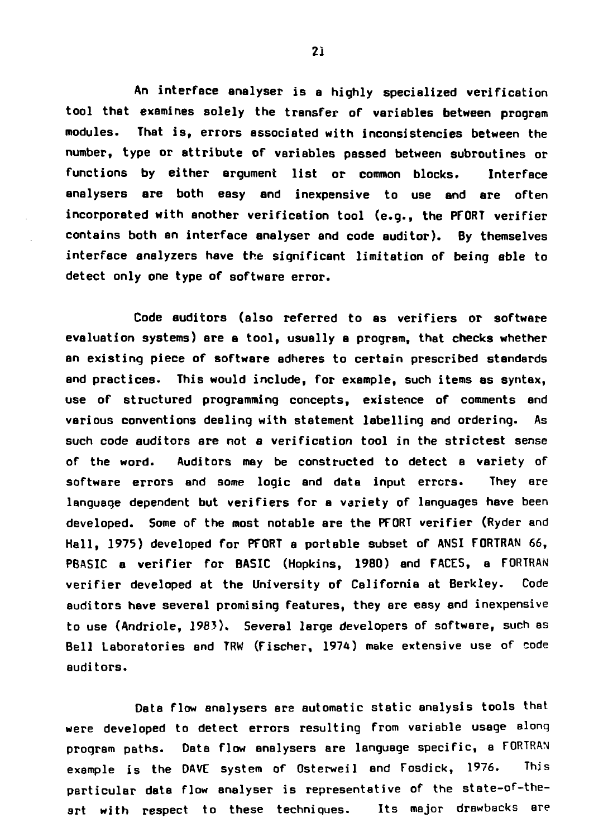**An interface analyser is a highly specialized verification tool that examines solely the transfer of variables between program modules. That is, errors associated with inconsistencies between the number, type or attribute of variables passed between subroutines or functions by either argument list or common blocks. Interface analysers are both easy and inexpensive to use and ere often incorporated with another verification tool (e.g., the PFORT verifier contains both an interface analyser and code auditor). By themselves interface analyzers have the significant limitation of being able to detect only one type of software error.**

**Code auditors (also referred to as verifiers or software evaluation systems) are a tool, usually a program, that checks whether an existing piece of software adheres to certain prescribed standards and practices. This would include, for example, such items as syntax, use of structured programming concepts, existence of comments and various conventions dealing with statement labelling and ordering. As such code auditors are not a verification tool in the strictest sense of the word. Auditors may be constructed to detect a variety of software errors and some logic and data input errors. They are language dependent but verifiers for a variety of languages have been developed. Some of the most notable are the PFORT verifier (Ryder and Hall, 1975) developed for PFORT a portable subset of ANSI FORTRAN 66, PBASIC e verifier for BASIC (Hopkins, 1980) and FACES, a FORTRAN verifier developed at the University of California at Berkley. Code auditors have several promising features, they sre easy and inexpensive to use (Andriole, 1985). Several large developers of software, such as Bell Laboratories and TRW (Fischer, 1974) make extensive use of code auditors.**

**Data flow analysers are automatic static analysis tools that were developed to detect errors resulting from variable usage alonq program paths. Data flow analysers are language specific, a FORTRAN example is the DAVE system of Osterweil and Fosdick, 1976. This particular data flow analyser is representative of the state-of-theart with respect to these techniques. Its major drawbacks are**

**21**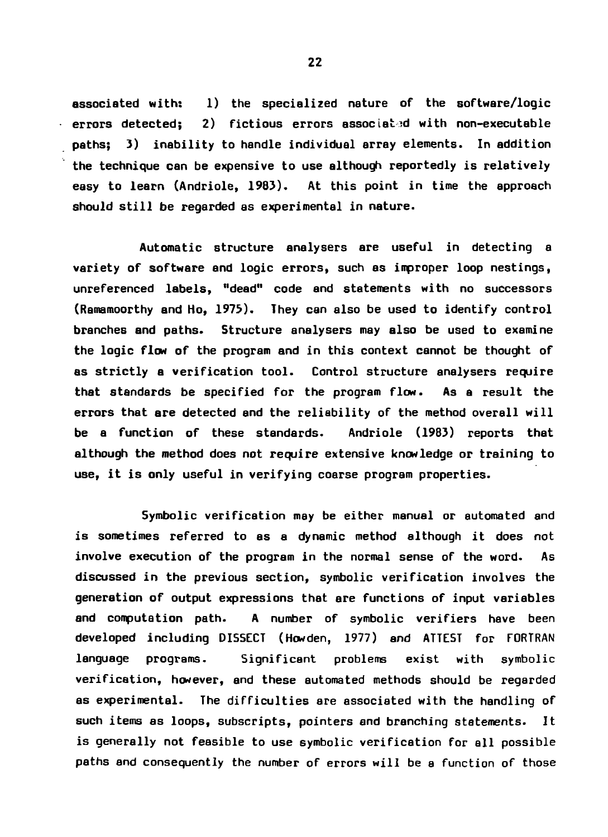**associated with: 1) the specialized nature of the software/logic errors detected;** 2) fictious errors associated with non-executable **paths; 3) inability to handle individual array elements. In addition the technique can be expensive to use although reportedly is relatively easy to learn (Andriole, 1983). At this point in time the approach should still be regarded as experimental in nature.**

**Automatic structure analysers are useful in detecting a variety of software and logic errors, such as improper loop nestings, unreferenced labels, "dead" code and statements with no successors (Ramamoorthy and Ho, 1975). They can also be used to identify control branches and paths. Structure analysers may also be used to examine the logic flow of the program and in this context cannot be thought of as strictly a verification tool. Control structure analysers require that standards be specified for the program flow. As a result the errors that are detected and the reliability of the method overall will be a function of these standards. Andriole (1983) reports that although the method does not require extensive knowledge or training to use, it is only useful in verifying coarse program properties.**

**Symbolic verification may be either manual or automated and is sometimes referred to as a dynamic method although it does not involve execution of the program in the normal sense of the word. As discussed in the previous section, symbolic verification involves the generation of output expressions that are functions of input variables and computation path. A number of symbolic verifiers have been developed including DISSECT (Howden, 1977) and ATTEST for FORTRAN language programs. Significant problems exist with symbolic verification, however, and these automated methods should be regarded as experimental. The difficulties are associated with the handling of such items as loops, subscripts, pointers and branching statements. It is generally not feasible to use symbolic verification for all possible paths and consequently the number of errors will be a function of those**

**22**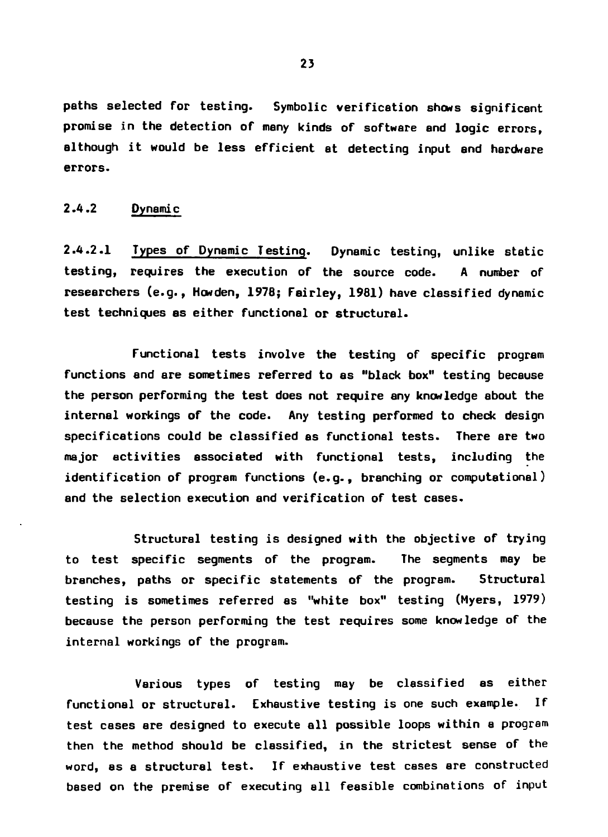**paths selected for testing. Symbolic verification shows significant promise in the detection of many kinds of software and logic errors, although it would be less efficient at detecting input end hardware errors.**

### **2.4.2 Dynamic**

**2.4.2.1 Types of Dynamic Testing. Dynamic testing, unlike static testing, requires the execution of the source code. A number of researchers (e.g., Howden, 1978; Fairley, 1981) have classified dynamic test techniques as either functional or structural.**

**Functional tests involve the testing of specific program functions and are sometimes referred to as "black box" testing because the person performing the test does not require any knowledge about the internal workings of the code. Any testing performed to check design specifications could be classified as functional tests. There are two major activities associated with functional tests, including the identification of program functions (e.g., branching or computational) and the selection execution and verification of test cases.**

**Structural testing is designed with the objective of trying to test specific segments of the program. The segments may be branches, paths or specific statements of the program. Structural testing is sometimes referred as "white box" testing (Myers, 1979) because the person performing the test requires some knowledge of the internal workings of the program.**

**Various types of testing may be classified as either functional or structural. Exhaustive testing is one such example. If test cases are designed to execute all possible loops within e program then the method should be classified, in the strictest sense of the word, as a structural test. If exhaustive test cases are constructed based on the premise of executing all feasible combinations of input**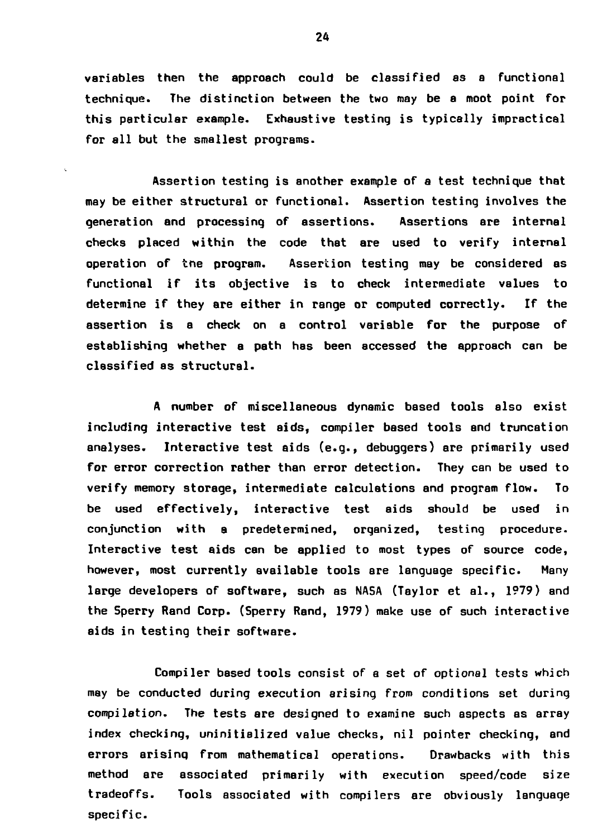**variables then the approach could be classified as a functional technique. The distinction between the two may be a moot point for this particular example. Exhaustive testing is typically impractical for all but the smallest programs.**

**Assertion testing is another example of a test technique that may be either structural or functional. Assertion testing involves the generation and processing of assertions. Assertions are internal checks placed within the code that are used to verify internal operation of trie program. Assertion testing may be considered as functional if its objective is to check intermediate values to determine if they are either in range or computed correctly. If the assertion is a check on a control variable for the purpose of establishing whether a path has been accessed the approach can be classified as structural.**

**A number of miscellaneous dynamic based tools also exist including interactive test aids, compiler based tools and truncation analyses. Interactive test aids (e.g., debuggers) are primarily used for error correction rather than error detection. They can be used to verify memory storage, intermediate calculations and program flow. To be used effectively, interactive test aids should be used in conjunction with a predetermined, organized, testing procedure. Interactive test aids can be applied to most types of source code, however, most currently available tools are language specific. Many large developers of software, such as NASA (Taylor et al., 1979) and the Sperry Rand Corp. (Sperry Rand, 1979) make use of such interactive aids in testing their software.**

**Compiler based tools consist of a set of optional tests which may be conducted during execution arising from conditions set during compilation. The tests are designed to examine such aspects as array index checking, uninitialized value checks, nil pointer checking, and errors arisinq from mathematical operations. Drawbacks with this method are associated primarily with execution speed/code size tradeoffs. Tools associated with compilers are obviously language specific.**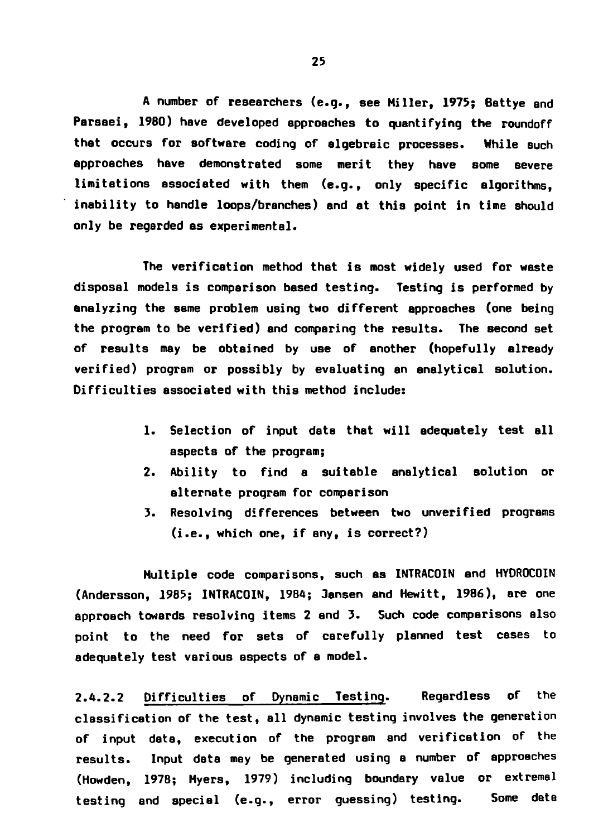**A number of researchers (e.g., see Miller, 1975; Battye end Parsaei, I960) have developed approaches to quantifying the roundoff that occurs for software coding of algebraic processes. While such approaches have demonstrated some merit they have some severe limitations associated with them (e.g., only specific algorithms, inability to handle loops/branches) and at this point in time should only be regarded as experimental.**

**The verification method that is most widely used for waste disposal models is comparison based testing. Testing is performed by analyzing the same problem using two different approaches (one being the program to be verified) and comparing the results. The second set of results may be obtained by use of another (hopefully already verified) program or possibly by evaluating an analytical solution. Difficulties associated with this method include:**

- **1. Selection of input date that will adequately test all aspects of the program;**
- **2. Ability to find a suitable analytical solution or alternate program for comparison**
- **3. Resolving differences between two unverified programs (i.e., which one, if any, is correct?)**

**Multiple code comparisons, such as INTRACOIN and HYDROCOIN (Andersson, 1985; INTRACOIN, 1984; Jensen and Hewitt, 1986), are one approach towards resolving items 2 and 3. Such code comparisons also point to the need for sets of carefully planned test cases to adequately test various aspects of a model.**

**2.A.2.2 Difficulties of Dynamic Testing. Regardless of the classification of the test, all dynamic testing involves the generation of input data, execution of the program and verification of the results. Input data may be generated using a number of approaches (Howden, 1978; Myers, 1979) including boundary value or extremal testing and special (e.g., error guessing) testing. Some date**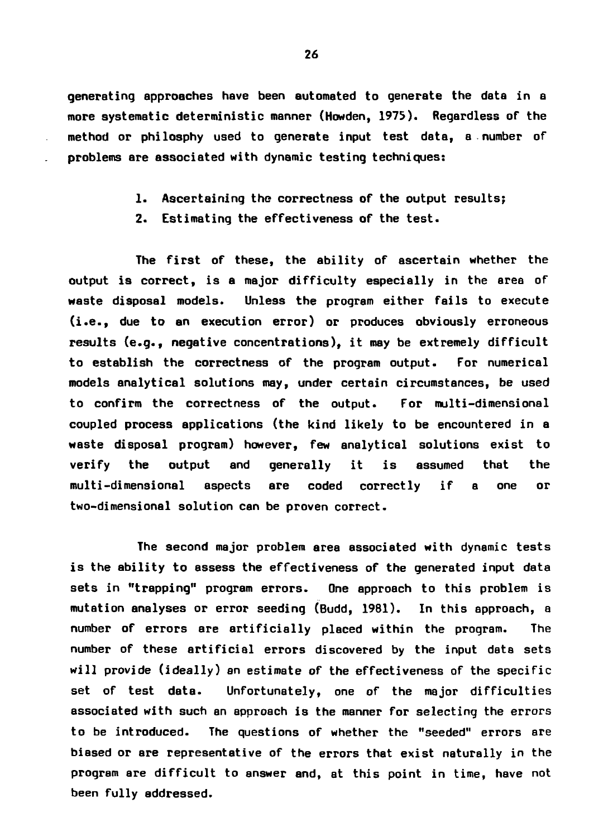**generating approaches have been automated to generate the data in a more systematic deterministic manner (Howden, 1973). Regardless or the method or philosphy used to generate input test data, a number of problems are associated with dynamic testing techniques:**

- **1. Ascertaining the correctness of the output results;**
- **2. Estimating the effectiveness of the test.**

**The first of these, the ability of ascertain whether the output is correct, is a major difficulty especially in the area of waste disposal models. Unless the program either fails to execute (i.e., due to an execution error) or produces obviously erroneous results (e.g., negative concentrations), it may be extremely difficult to establish the correctness of the program output. For numerical models analytical solutions may, under certain circumstances, be used to confirm the correctness of the output. For multi-dimensional coupled process applications (the kind likely to be encountered in a waste disposal program) however, few analytical solutions exist to verify the output and generally it is assumed that the multi-dimensional aspects are coded correctly if a one or two-dimensional solution can be proven correct.**

**The second major problem area associated with dynamic tests is the ability to assess the effectiveness of the generated input data sets in "trapping" program errors. One approach to this problem is mutation analyses or error seeding (Budd, 1981). In this approach, a number of errors are artificially placed within the program. The number of these artificial errors discovered by the input data sets will provide (ideally) an estimate of the effectiveness of the specific set of test data. Unfortunately, one of the major difficulties associated with such an approach is the manner for selecting the errors to be introduced. The questions of whether the "seeded" errors are biased or are representative of the errors that exist naturally in the program are difficult to answer and, at this point in time, have not been fully addressed.**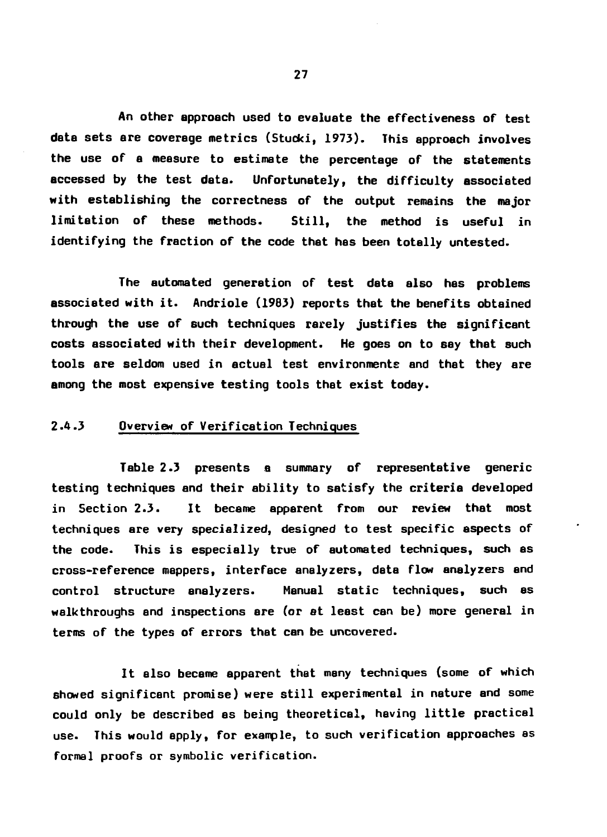**An other approach used to evaluate the effectiveness of test data sets are coverage metrics (Stucki, 1973). This approach involves the use of a measure to estimate the percentage of the statements accessed by the test date. Unfortunately, the difficulty associated with establishing the correctness of the output remains the major limitation of these methods. Still, the method is useful in identifying the fraction of the code that has been totally untested.**

**The automated generation of test data also has problems associated with it. Andriole (19B3) reports that the benefits obtained through the use of such techniques rarely justifies the significant costs associated with their development. He goes on to say that such tools are seldom used in actual test environments end that they are among the most expensive testing tools that exist today.**

### **2.4.3 Overview of Verification Techniques**

**Table 2.3 presents a summary of representative generic testing techniques and their ability to satisfy the criteria developed in Section 2.3. It became apparent from our review that most techniques are very specialized, designed to test specific aspects of the code. This is especially true of automated techniques, such as cross-reference mappers, interface analyzers, deta flow analyzers and control structure analyzers. Manual static techniques, such as walkthroughs and inspections are (or at least can be) more general in terms of the types of errors that can be uncovered.**

**It also became apparent that many techniques (some of which showed significant promise) were still experimental in nature and some could only be described as being theoretical, having little practical use. This would apply, for example, to such verification approaches as formal proofs or symbolic verification.**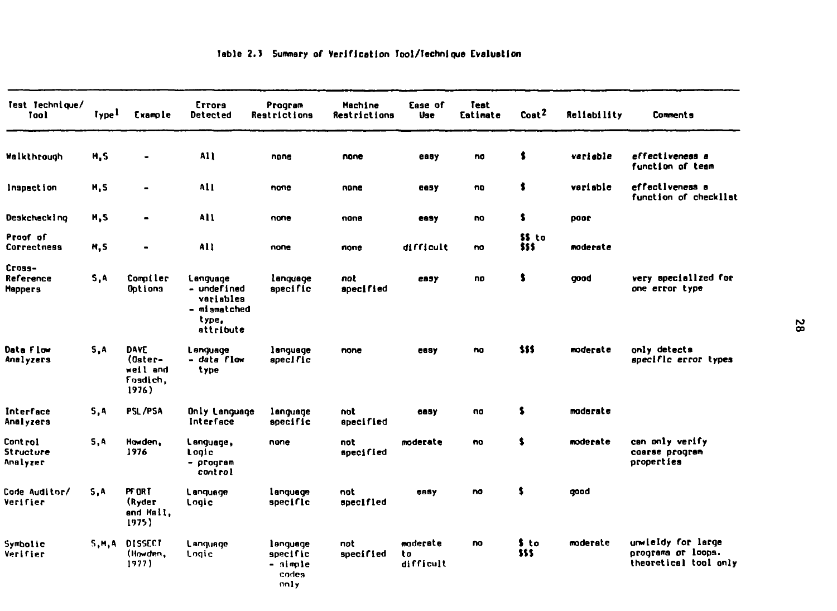| Test Technique/<br>Taal               | lype <sup>1</sup> | Example                                          | Errors<br><b>Detected</b>                                                  | Program<br>Restrictions                           | Machine<br>Restrictions | Ease of<br>Use              | Test<br>Estimate | Cost <sup>2</sup> | <b>Reliability</b> | <b>Comments</b>                                                   |
|---------------------------------------|-------------------|--------------------------------------------------|----------------------------------------------------------------------------|---------------------------------------------------|-------------------------|-----------------------------|------------------|-------------------|--------------------|-------------------------------------------------------------------|
| Walkthrough                           | M, S              | ۰                                                | A11                                                                        | none                                              | none                    | easy                        | no               | \$                | variable           | effectiveness a<br>function of team                               |
| Inspection                            | M, S              | $\blacksquare$                                   | A11                                                                        | none                                              | none                    | easy                        | no               | \$                | variable           | effectiveness a<br>function of checkllst                          |
| Deskcheck I ng                        | M, S              | $\qquad \qquad \blacksquare$                     | All                                                                        | none                                              | none                    | easy                        | no               | \$                | noor               |                                                                   |
| Proof of<br>Correctness               | M, S              | $\blacksquare$                                   | All                                                                        | none                                              | none                    | difficult                   | na               | \$\$ to<br>\$\$\$ | moderate           |                                                                   |
| Cross-<br>Reference<br><b>Mappers</b> | S,A               | Compiler<br>Options                              | Language<br>- undefined<br>variables<br>- mismatched<br>type.<br>attribute | language<br>specific                              | not<br>specified        | евзу                        | no               | \$                | good               | very specialized for<br>one error type                            |
| Data Flow<br>Analyzers                | 5.A               | DAVE<br>(Oster-<br>weil and<br>Foadich.<br>1976) | Language<br>– data flow<br>type                                            | language<br>specific                              | none                    | easy                        | no               | \$55              | moderate           | only detects<br>specific error types                              |
| Interface<br>Analyzers                | 5,4               | PSL/PSA                                          | Only Language<br>Interface                                                 | language<br>specific                              | not<br>apecified        | easy                        | no               | \$                | moderate           |                                                                   |
| Cont rol<br>Structure<br>Analyzer     | 5, A              | Howden.<br>1976                                  | Language,<br>Lonic<br>- program<br>control                                 | none                                              | not<br>specified        | moderate                    | no               | \$                | moderate           | can only verify<br>coarse program<br>properties                   |
| <b>Code Auditor/</b><br>Verifier      | 5.A               | PT OR T<br>(Ryder<br>and Hall,<br>1975)          | Language<br>Logic                                                          | language<br>specific                              | not<br>specified        | easy                        | no               | \$                | gaad               |                                                                   |
| Symbolic<br>Verifier                  | 5.M.A             | <b>DISSECT</b><br>(Howden,<br>1977)              | Language<br>Logic                                                          | language<br>specific<br>- simple<br>codes<br>nnly | not<br>specified        | moderate<br>to<br>difficult | no               | \$ to<br>\$\$\$   | moderate           | unwieldy for large<br>programs or loops.<br>theoretical tool only |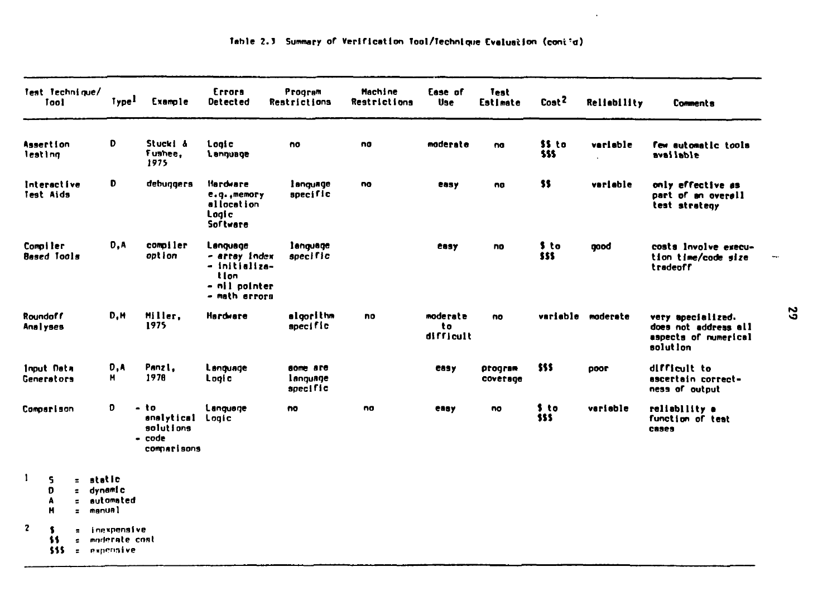| Test Technique/          | Tool                      |                                        | Type <sup>1</sup>                             | Exemple                                                  | Errors<br>Detected                                                                     | Program<br>Restrictions          | <b>Hachine</b><br>Restrictions | Ease of<br><b>Use</b>       | Test<br>Estimate    | Cost <sup>2</sup> | Reliebility                      | <b>Comments</b>                                                               |
|--------------------------|---------------------------|----------------------------------------|-----------------------------------------------|----------------------------------------------------------|----------------------------------------------------------------------------------------|----------------------------------|--------------------------------|-----------------------------|---------------------|-------------------|----------------------------------|-------------------------------------------------------------------------------|
| Assertion<br>lesting     |                           |                                        | D                                             | Stucki &<br>Fushee,<br>1975                              | Logic<br><b>L</b> ennuage                                                              | no                               | no                             | moderate                    | na                  | \$\$ to<br>555    | verisble<br>$\ddot{\phantom{a}}$ | few automatic tools<br>available                                              |
| Interactive<br>Test Aids |                           |                                        | D                                             | debuggers                                                | <b>Hardware</b><br>e.q., memory<br>allocation<br>Logi c<br>Software                    | language<br>specific             | no                             | easy                        | no                  | \$\$              | variable                         | only effective as<br>part of an overall<br>test strategy                      |
| Compiler<br>Besed Tools  |                           |                                        | D.A                                           | compiler<br>option                                       | Language<br>- artay index<br>- initializa-<br>t I on<br>- nil pointer<br>- math errors | language<br>specific             |                                | easy                        | no                  | \$ to<br>555      | qood                             | costs lovelve execu-<br>tion time/code size<br>tradeoff                       |
| Roundoff<br>Analyses     |                           |                                        | D,M                                           | Miller.<br>1975                                          | Hardware                                                                               | elgorithm<br>specific            | no                             | moderate<br>to<br>difficult | no                  |                   | variable moderate                | very specialized.<br>does not address all<br>aspects of numerical<br>solution |
| Input Data<br>Generators |                           |                                        | D,A<br>н                                      | Panzi,<br>1978                                           | Language<br>Logic                                                                      | some are<br>language<br>specific |                                | easy                        | program<br>coverage | \$\$\$            | <b>2000</b>                      | difficult to<br>escertain correct-<br>ness of output                          |
| Comparison               |                           |                                        | D                                             | – to<br>enalytical<br>solutions<br>- code<br>comparisons | Language<br>Logic                                                                      | no                               | no                             | enny                        | no                  | \$ to<br>SSS      | variable                         | reliability a<br>function of test<br>cases                                    |
| $\mathbf{1}$             | 5.<br>D<br>Α<br>М         | $\blacksquare$<br>e.<br>÷.             | $z$ static<br>dynam! c<br>automated<br>manuel |                                                          |                                                                                        |                                  |                                |                             |                     |                   |                                  |                                                                               |
| $\mathbf{z}$             | $\mathbf{f}$<br>11<br>555 | $\blacksquare$<br>ė.<br>$\blacksquare$ | inexpensive<br>moderate coat<br>expensive     |                                                          |                                                                                        |                                  |                                |                             |                     |                   |                                  |                                                                               |

 $\sim 100$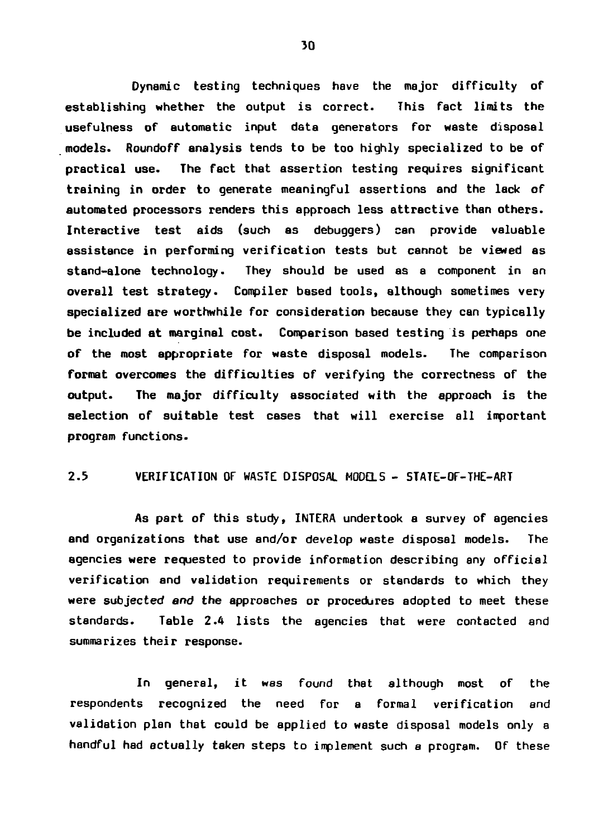**Dynamic testing techniques have the major difficulty of establishing whether the output is correct. This fact limits the usefulness of automatic input data generators for waste disposal models. Roundoff analysis tends to be too highly specialized to be of practical use. The fact that assertion testing requires significant training in order to generate meaningful assertions and the lack of automated processors renders this approach less attractive than others. Interactive test aids (such as debuggers) can provide valuable assistance in performing verification tests but cannot be viewed as stand-alone technology. They should be used as a component in an overall test strategy. Compiler based tools, although sometimes very specialized are worthwhile for consideration because they can typically be included at marginal cost. Comparison based testing is perhaps one of the most appropriate for waste disposal models. The comparison format overcomes the difficulties of verifying the correctness of the output. The major difficulty associated with the approach is the selection of suitable test cases that will exercise all important program functions.**

### **2.5 VERIFICATION OF WASTE DISPOSAL MODELS - STATE-OF-THE-ART**

**As part of this study, INTERA undertook a survey of agencies and organizations that use and/or develop waste disposal models. The agencies were requested to provide information describing any official verification and validation requirements or standards to which they were subjected and the approaches or procedures adopted to meet these standards. Table 2.4 lists the agencies that were contacted and summarizes their response.**

**In general, it was found that although most of the respondents recognized the need for a formal verification and validation plan that could be applied to waste disposal models only a handful had actually taken steps to implement such a program. Of these**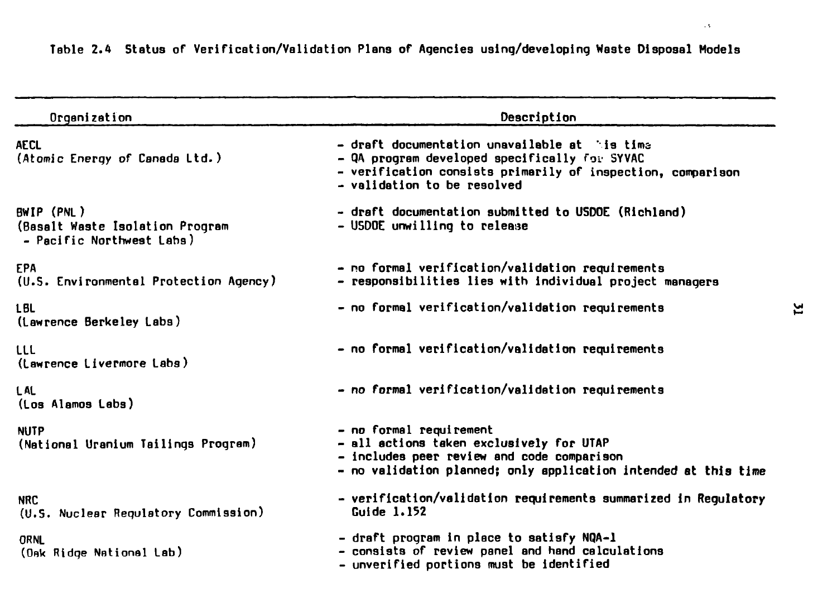| Organization                                                               | Description                                                                                                                                                                                             |
|----------------------------------------------------------------------------|---------------------------------------------------------------------------------------------------------------------------------------------------------------------------------------------------------|
| <b>AECL</b><br>(Atomic Energy of Canada Ltd.)                              | $\sim$ draft documentation unavailable at $\sim$ is time<br>- QA program developed specifically for SYVAC<br>- verification consists primarily of inspection, comparison<br>- validation to be resolved |
| BWIP (PNL)<br>(Basalt Waste Isolation Program<br>- Pacific Northwest Labs) | - draft documentation submitted to USDOE (Richland)<br>- USDOE unwilling to release                                                                                                                     |
| <b>EPA</b><br>(U.S. Environmental Protection Agency)                       | - no formal verification/validation requirements<br>- responsibilities lies with individual project managers                                                                                            |
| <b>LBL</b><br>(Lawrence Berkeley Labs)                                     | - no formal verification/validation requirements                                                                                                                                                        |
| uu<br>(Lawrence Livermore Labs)                                            | - no formal verification/validation requirements                                                                                                                                                        |
| L AL<br>(Los Alamos Labs)                                                  | - no formal verification/validation requirements                                                                                                                                                        |
| <b>NUTP</b><br>(National Uranium Tailings Program)                         | - no formal requirement<br>- all actions taken exclusively for UTAP<br>- includes peer review and code comparison<br>- no validation planned; only application intended at this time                    |
| <b>NRC</b><br>(U.S. Nuclear Regulatory Commission)                         | - verification/validation requirements summarized in Requlatory<br>Guide 1.152                                                                                                                          |
| ORNL<br>(Oak Ridge National Lab)                                           | - draft program in place to satisfy NQA-1<br>- consists of review panel and hand calculations<br>- unverified portions must be identified                                                               |

**Table 2.4 Status of Verification/Validation Plans of Agencies using/developing Waste Disposal Models**

 $\sim$   $\sim$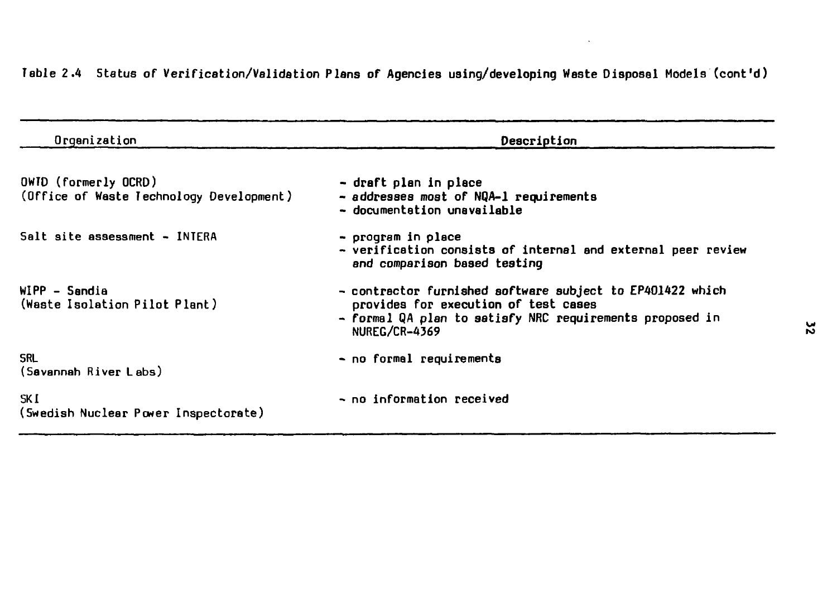| Organization                                                     | Description                                                                                                                                                                    |
|------------------------------------------------------------------|--------------------------------------------------------------------------------------------------------------------------------------------------------------------------------|
| OWID (formerly OCRD)<br>(Office of Waste Technology Development) | - draft plan in place<br>- addresses most of NQA-1 requirements<br>- documentation unavailable                                                                                 |
| Salt site assessment - INTERA                                    | - program in place<br>- verification consists of internal and external peer review<br>and comparison based testing                                                             |
| WIPP - Sandia<br>(Waste Isolation Pilot Plant)                   | - contractor furnished software subject to EP401422 which<br>provides for execution of test cases<br>- formal QA plan to satisfy NRC requirements proposed in<br>NUREG/CR-4369 |
| <b>SRL</b><br>(Savannah River Labs)                              | - no formal requirements                                                                                                                                                       |
| SK I<br>(Swedish Nuclear Power Inspectorate)                     | - no information received                                                                                                                                                      |

**Table 2.4 Status of Verification/Validation Plans of Agencies using/developing Waste Disposal Models (cont'd)**

 $\epsilon$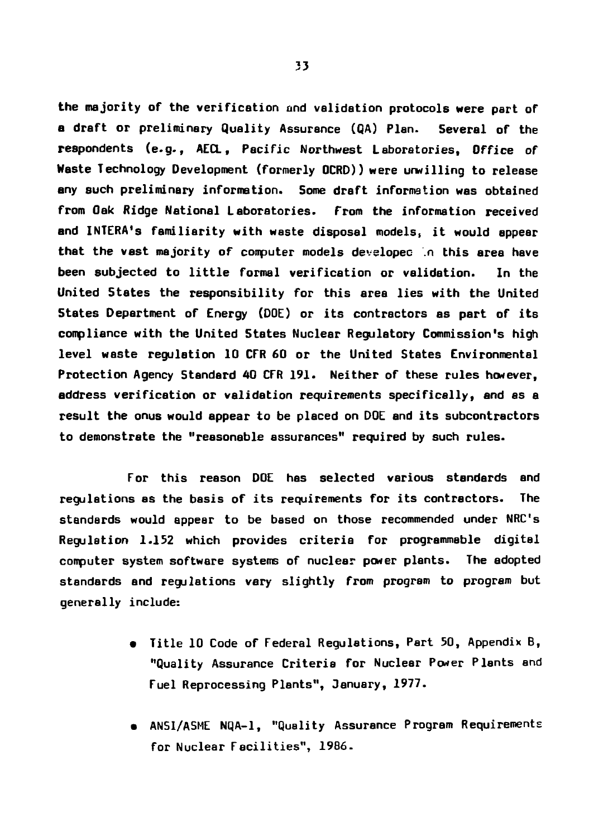**the majority of the verification and validation protocols were part of a draft or preliminary Quality Assurance (QA) Plan. Several of the respondents (e.g., AECL, Pacific Northwest Laboratories, Office of Waste Technology Development (formerly OCRD)) were unwilling to release any such preliminary information. Some draft information was obtained from Oak Ridge National Laboratories, from the information received and INTERA's familiarity with waste disposal models, i t would appear** that the vast majority of computer models developed in this area have **been subjected to littl e formal verification or validation. In the United States the responsibility for this area lies with the United States Department of Energy (DOE) or its contractors as part of its compliance with the United States Nuclear Regulatory Commission's high level waste regulation 10 CFR 60 or the United States Environmental Protection Agency Standard 40 CFR 191. Neither of these rules however, address verification or validation requirements specifically, and as a result the onus would appear to be placed on DOE and its subcontractors to demonstrate the "reasonable assurances" required by such rules.**

**For this reason DOE has selected various standards and regulations as the basis of its requirements for its contractors. The standards would appear to be based on those recommended under NRC's Regulation 1.152 which provides criteria for programmable digital computer system software systems of nuclear power plants. The adopted standards and regulations vary slightly from program to program but generally include:**

- **Title 10 Code of Federal Regulations, Part 50, Appendix B, "Quality Assurance Criteria for Nuclear Power Plants and Fuel Reprocessing Plants", January, 1977.**
- **ANS1/ASME NQA-1, "Quality Assurance Program Requirements for Nuclear Facilities", 1986.**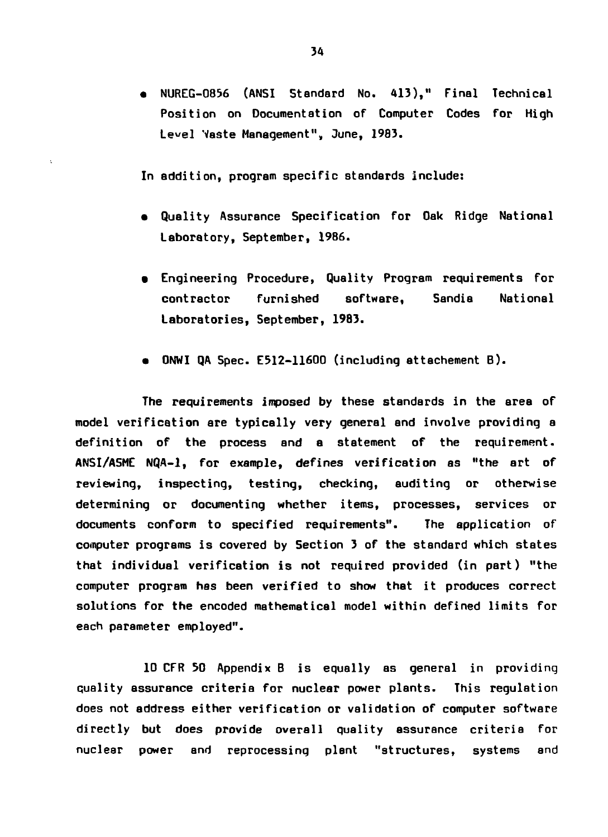**• NUREG-0B56 (ANSI Standard No. 413)," Final Technical Position on Documentation of Computer Codes for High Le«el Waste Management", June, 1983.**

**In addition, program specific standards include:**

- **Quality Assurance Specification for Oak Ridge National Laboratory, September, 1986.**
- **Engineering Procedure, Quality Program requirements for contractor furnished software, Sandia National Laboratories, September, 1983.**
- **ONWI QA Spec. E512-11600 (including attachement B) .**

**The requirements imposed by these standards in the area of model verification are typically very general and involve providing a definition of the process and a statement of the requirement. ANSI/A5ME NQA-1, for example, defines verification as "the art of reviewing, inspecting, testing, checking, auditing or otherwise determining or documenting whether items, processes, services or documents conform to specified requirements". The application of computer programs is covered by Section 3 of the standard which states that individual verification is not required provided (in part) "the computer program has been verified to show that it produces correct solutions for the encoded mathematical model within defined limits for each parameter employed".**

**10 CFR 50 Appendix B is equally as general in providing quality assurance criteria for nuclear power plants. This regulation does not address either verification or validation of computer software directly but does provide overall quality assurance criteria for nuclear power and reprocessing plant "structures, systems and**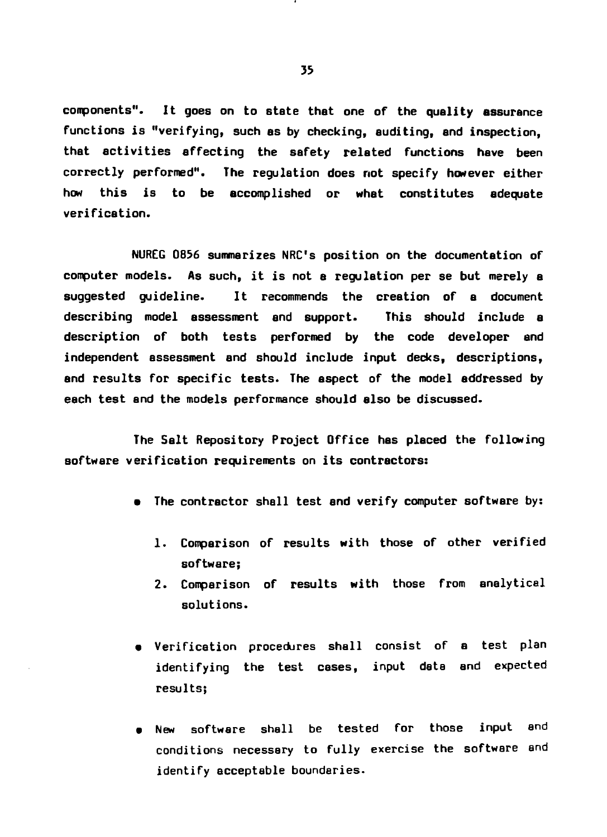**components". It goes on to state that one of the quality assurance functions is "verifying, such as by checking, auditing, and inspection, that activities affecting the safety related functions have been correctly performed". The regulation does not specify however either how this is to be accomplished or what constitutes adequate verification.**

**NUREG 0856 summarizes NRC's position on the documentation of computer models. As such, it is not a regulation per se but merely a suggested guideline. It recommends the creation of a document describing model assessment and support. This should include a description of both tests performed by the code developer and independent assessment and should include input decks, descriptions, and results for specific tests. The aspect of the model addressed by each test and the models performance should also be discussed.**

**The Salt Repository Project Office has placed the following software verification requirements on its contractors:**

- **The contractor shall test and verify computer software by:**
	- **1. Comparison of results with those of other verified software;**
	- **2. Comparison of results with those from analytical solutions.**
- **Verification procedures shall consist of a test plan** identifying the test cases, input data and expected **results;**
- **New software shall be tested for those input and conditions necessary to fully exercise the software and identify acceptable boundaries.**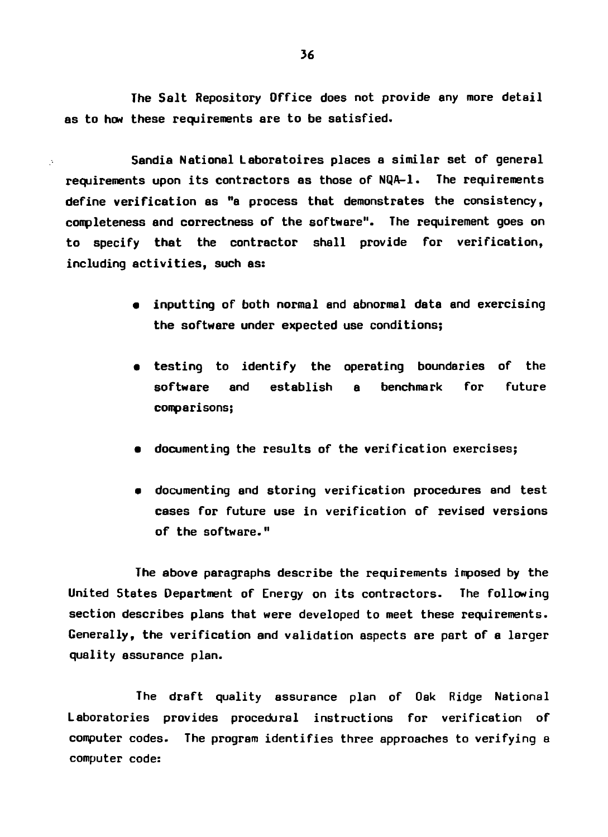The Salt Repository Office does not provide any more detail as to how these requirements are to be satisfied.

Sandia National Laboratoires places a similar set of general requirements upon its contractors as those of NQA-1. The requirements define verification as "a process that demonstrates the consistency, completeness and correctness of the software". The requirement goes on to specify that the contractor shall provide for verification, including activities, such as:

- inputting of both normal and abnormal data and exercising **the** software under expected use conditions;
- testing to identify the operating boundaries of the software and establish a benchmark for future comparisons;
- documenting the results of the verification exercises;
- documenting and storing verification procedures and test cases for future use in verification of revised versions of the software."

The above paragraphs describe the requirements imposed by the United States Department of Energy on its contractors. The following section describes plans that were developed to meet these requirements. Generally, the verification and validation aspects are part of a larger quality assurance plan.

The draft quality assurance plan of Oak Ridge National Laboratories provides procedural instructions for verification of computer codes. The program identifies three approaches to verifying a computer code: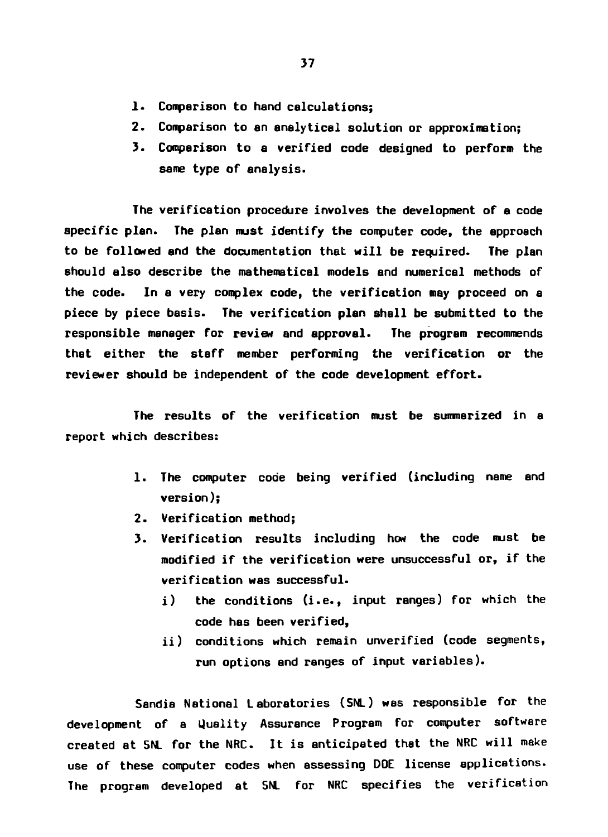- 1. Comparison to hand calculations:
- **2. Comparison to an analytical solution or approximation;**
- **3. Comparison to a verified code designed to perform the same type of analysis.**

**The verification procedure involves the development of a code specific plan. The plan must identify the computer code, the approach to be followed and the documentation that will be required. The plan should also describe the mathematical models and numerical methods of the code. In a very complex code, the verification may proceed on a piece by piece basis. The verification plan shall be submitted to the responsible manager for review and approval. The program recommends that either the staff member performing the verification or the reviewer should be independent of the code development effort.**

**The results of the verification must be summarized in a report which describes:**

- **1. The computer code being verified (including name and version);**
- **2. Verification method;**
- **3. Verification results including how the code must be modified if the verification were unsuccessful or, if the verification was successful.**
	- **i) the conditions (i.e., input ranges) for which the code has been verified,**
	- **ii) conditions which remain unverified (code segments, run options and ranges of input variables).**

**Sendie National Laboratories (SNL) was responsible for the development of a Uuality Assurance Program for computer software created at SNL for the NRC. It is anticipated that the NRC will make use of these computer codes when assessing DOE license applications. The program developed at SNL for NRC specifies the verification**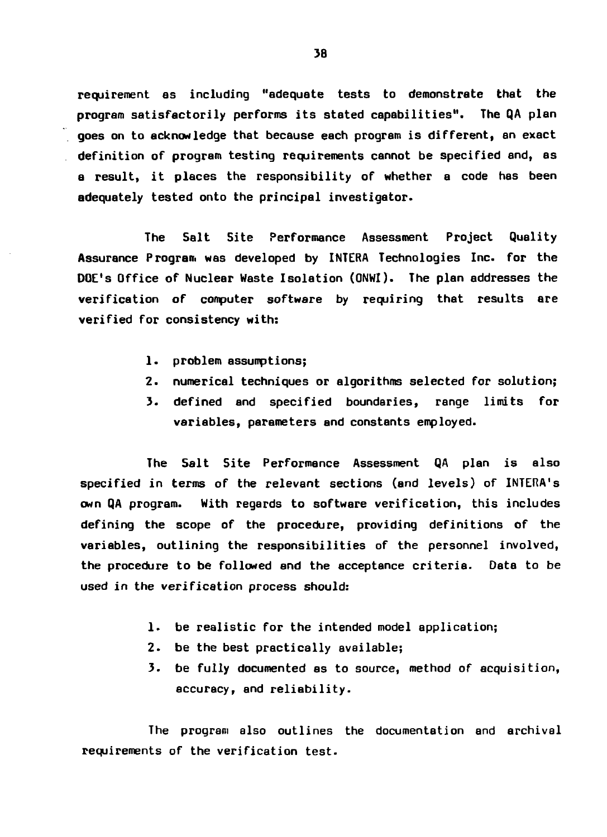**requirement as including "adequate tests to demonstrate that the program satisfactorily performs its stated capabilities". The QA plan goes on to acknowledge that because each program is different, an exact definition of program testing requirements cannot be specified and, as a result, it places the responsibility of whether a code has been adequately tested onto the principal investigator.**

**The Salt Site Performance Assessment Project Quality Assurance Program was developed by INTERA Technologies Inc. for the DOE's Office of Nuclear Waste Isolation (ONWI). The plan addresses the verification of computer software by requiring that results are verified for consistency with:**

- **1. problem assumptions;**
- **2. numerical techniques or algorithms selected for solution;**
- **3. defined and specified boundaries, range limits for variables, parameters and constants employed.**

**The Salt Site Performance Assessment QA plan is also specified in terms of the relevant sections (and levels) of INTERA<sup>1</sup>s own QA program. With regards to software verification, this includes defining the scope of the procedure, providing definitions of the variables, outlining the responsibilities of the personnel involved, the procedure to be followed and the acceptance criteria. Data to be used in the verification process should:**

- **1. be realistic for the intended model application;**
- **2. be the best practically available;**
- **3. be fully documented as to source, method of acquisition, accuracy, and reliability.**

**The program also outlines the documentation and archival requirements of the verification test.**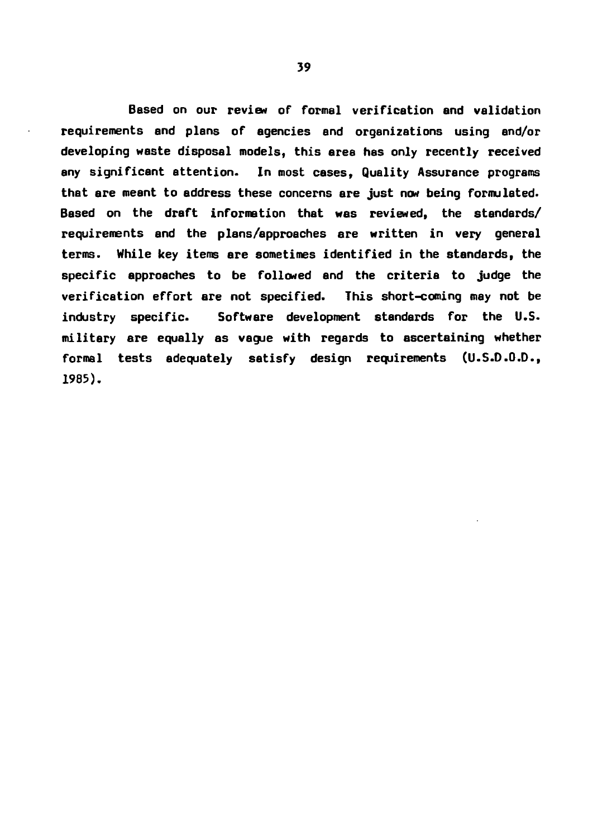**Based on our review or formal verification and validation requirements and plans of agencies and organizations using and/or developing waste disposal models, this area has only recently received any significant attention. In most cases, Quality Assurance programs that are meant to address these concerns are just now being formulated. Based on the draft information that was reviewed, the standards/ requirements and the plans/approaches are written in very general terms. While key items are sometimes identified in the standards, the specific approaches to be followed and the criteria to judge the verification effort are not specified. This short-coming may not be industry specific. Software development standards for the U.S. military ere equally as vague with regards to ascertaining whether formal tests adequately satisfy design requirements (U.S.D.O.D., 1985).**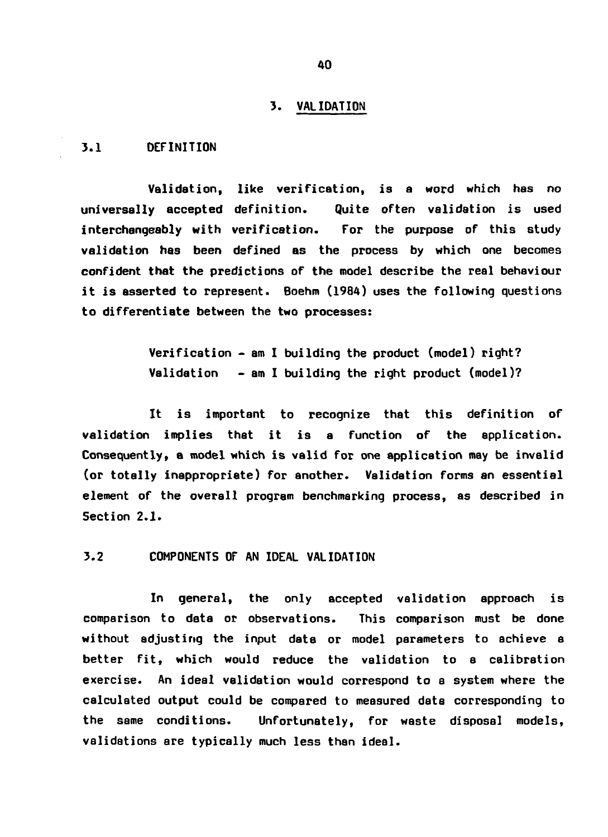#### **3 . VALIDATION**

### **3.1 DEFINITION**

**Validation, like verification, is a word which has no universally accepted definition. Quite often validation is used interchangeably with verification. For the purpose of this study validation has been defined as the process by which one becomes confident that the predictions of the model describe the real behaviour it is asserted to represent. Boehm (1984) uses the following questions to differentiate between the two processes:**

> **Verification - am I building the product (model) right? Validation - am I building the right product (model)?**

**It is important to recognize that this definition of validation implies that it is a function of the application. Consequently, a model which is valid for one application may be invalid (or totally inappropriate) for another. Validation forms an essential element of the overall program benchmarking process, as described in Section 2.1.**

**3.2 COMPONENTS OF AN IDEAL VALIDATION**

**In general, the only accepted validation approach is comparison to data or observations. This comparison must be done without adjusting the input data or model parameters to achieve a better fit, which would reduce the validation to a calibration exercise. An ideal validation would correspond to a system where the calculated output could be compared to measured data corresponding to the same conditions. Unfortunately, for waste disposal models, validations are typically much less than ideal.**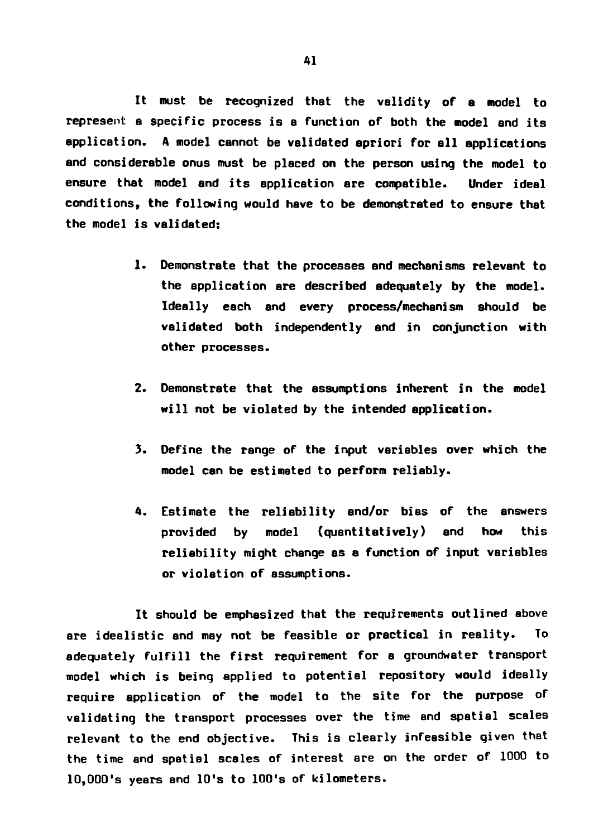**It must be recognized that the validity of e model to represent a specific process is a function of both the model and its application. A model cannot be validated apriori for all applications and considerable onus must be placed on the person using the model to ensure that model and its application are compatible. Under ideal conditions, the following would have to be demonstrated to ensure that the model is validated:**

- **1. Demonstrate that the processes and mechanisms relevant to the application are described adequately by the model. Ideally each and every process/mechanism should be validated both independently end in conjunction with other processes.**
- **2. Demonstrate that the assumptions inherent in the model will not be violated by the intended application.**
- **3. Define the range of the input variables over which the model can be estimated to perform reliably.**
- **4. Estimate the reliability and/or bias of the answers provided by model (quantitatively) and how this reliability might change as a function of input variables or violation of assumptions.**

**It should be emphasized that the requirements outlined above are idealistic and may not be feasible or practical in reality. To adequately fulfill the first requirement for a groundwater transport model which is being applied to potential repository would ideally require application of the model to the site for the purpose of validating the transport processes over the time and spatial scales** relevant to the end objective. This is clearly infeasible given that **the time and spatial scales of interest are on the order of 1000 to 10,000's years and 10's to 100's of kilometers.**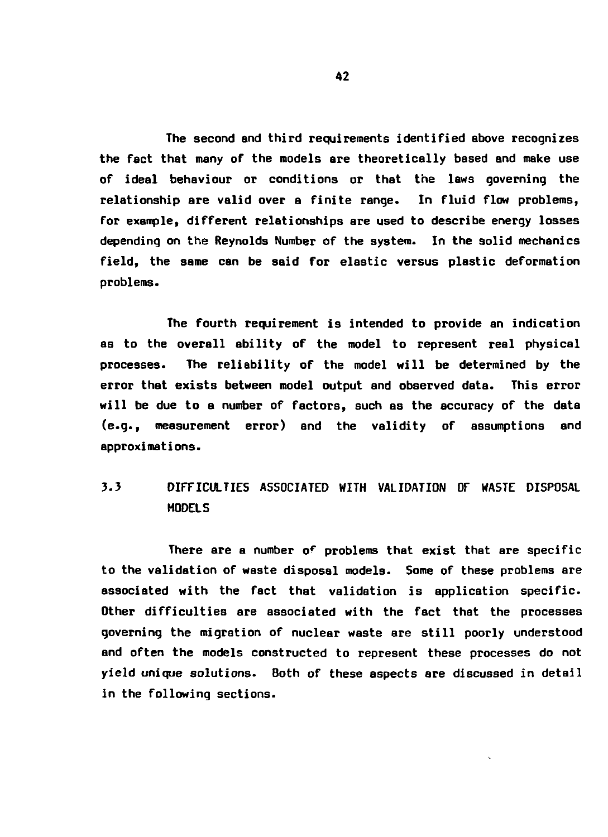**The second and third requirements identified above recognizes the fact that many of the models are theoretically based and make use of ideal behaviour or conditions or that the laws governing the relationship are valid over a finite range. In fluid flow problems, for example, different relationships are used to describe energy losses depending on the Reynolds Number of the system. In the solid mechanics field, the same can be said for elastic versus plastic deformation problems.**

**The fourth requirement is intended to provide an indication as to the overall ability of the model to represent real physical processes. The reliability of the model will be determined by the error that exists between model output and observed data. This error will be due to a number of factors, such as the accuracy of the data (e.g., measurement error) and the validity of assumptions and approxi mat i ons.**

# **3.3 DIFFICULTIES ASSOCIATED WITH VALIDATION OF WASTE DISPOSAL MODELS**

**There are a number o? problems that exist that are specific to the validation of waste disposal models. Some of these problems are associated with the fact that validation is application specific. Other difficulties are associated with the fact that the processes governing the migration of nuclear waste are still poorly understood and often the models constructed to represent these processes do not yield unique solutions. Both of these aspects are discussed in detail in the following sections.**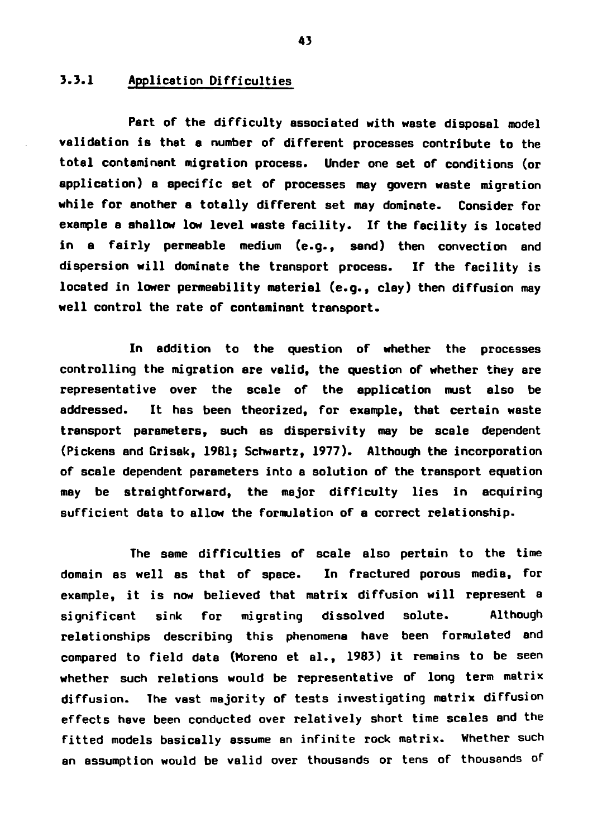## **3.3.1 Application Difficulties**

**Part of the difficulty associated with waste disposal model validation is that a number of different processes contribute to the total contaminant migration process. Under one set of conditions (or application) a specific set of processes may govern waste migration while for another a totally different set may dominate. Consider for example a shallow low level waste facility. If the facility is located in a fairly permeable medium (e.g., sand) then convection end dispersion will dominate the transport process. If the facility is located in lower permeability material (e.g., clay) then diffusion may well control the rate of contaminant transport.**

**In addition to the question of whether the processes controlling the migration are valid, the question of whether they are representative over the scale of the application must also be addressed. It has been theorized, for example, that certain waste transport parameters, such as dispersivity may be scale dependent (Pickens and Grisak, 1981; Schwartz, 1977). Although the incorporation of scale dependent parameters into a solution of the transport equation may be straightforward, the major difficulty lies in acquiring sufficient data to allow the formulation of a correct relationship.**

**The same difficulties of scale also pertain to the time domain as well as that of space. In fractured porous media, for example, it is now believed that matrix diffusion will represent a significant sink for migrating dissolved solute. Although relationships describing this phenomena have been formulated end compared to field data (Moreno et al., 1983) it remains to be seen whether such relations would be representative of long term matrix diffusion. The vast majority of tests investigating matrix diffusion effects have been conducted over relatively short time scales end the fitted models basically assume an infinite rock matrix. Whether such an assumption would be valid over thousands or tens of thousands of**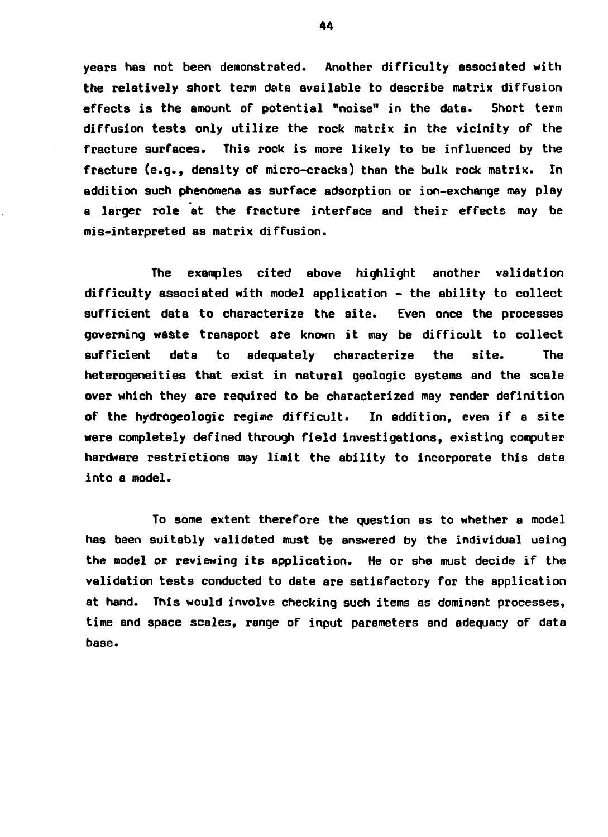**years has not been demonstrated. Another difficulty associated with the relatively short term data available to describe matrix diffusion effects is the amount of potential "noise" in the data. Short term diffusion tests only utilize the rock matrix in the vicinity of the fracture surfaces. This rock is more likely to be influenced by the fracture (e.g., density of micro-cracks) than the bulk rock matrix. In addition such phenomena as surface adsorption or ion-exchange may play a larger role at the fracture interface and their effects may be mis-interpreted as matrix diffusion.**

**The examples cited above highlight another validation difficulty associated with model application - the ability to collect sufficient data to characterize the site. Even once the processes governing waste transport are known it may be difficult to collect sufficient data to adequately characterize the site. The heterogeneities that exist in natural geologic systems and the scale over which they are required to be characterized may render definition of the hydrogeologic regime difficult. In addition, even if a site were completely defined through field investigations, existing computer hardware restrictions may limit the ability to incorporate this data into a model.**

**To some extent therefore the question as to whether a model has been suitably validated must be answered by the individual using the model or reviewing its application. He or she must decide if the validation tests conducted to date are satisfactory for the application at hand. This would involve checking such items as dominant processes, time and space scales, range of input parameters and adequacy of data base.**

44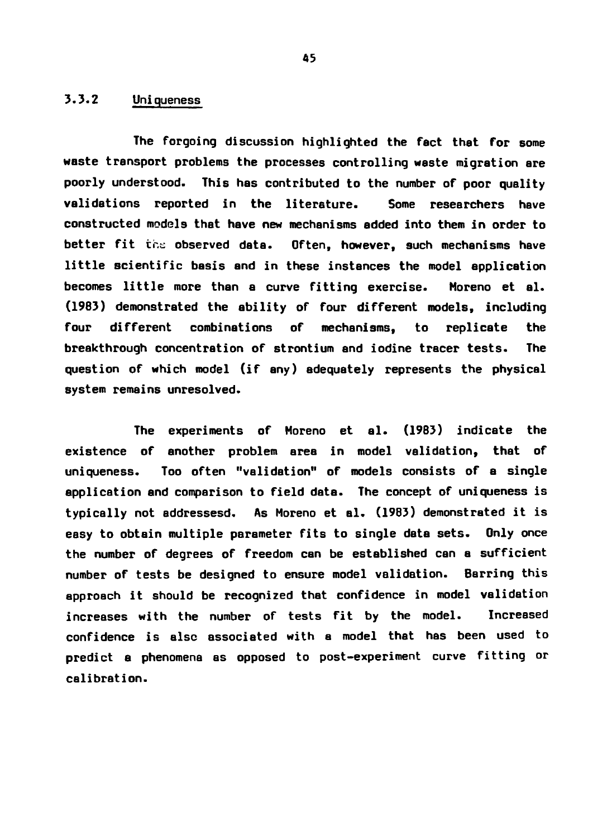## **3.3.2 Uniqueness**

**The forgoing discussion highlighted the fact that For some waste transport problems the processes controlling waste migration are poorly understood. This has contributed to the number of poor quality validations reported in the literature. Some researchers have constructed models that have new mechanisms added into them in order to** better fit the observed data. Often, however, such mechanisms have **little scientific basis and in these instances the model application becomes little more than a curve fitting exercise. Moreno et al. (1983) demonstrated the ability of four different models, including four different combinations of mechanisms, to replicate the breakthrough concentration of strontium and iodine tracer tests. The question of which model (if any) adequately represents the physical system remains unresolved.**

**The experiments of Moreno et al. (19B3) indicate the existence of another problem area in model validation, that of uniqueness. Too often "validation" of models consists of a single application and comparison to field data. The concept of uniqueness is typically not addressesd. As Moreno et el. (1983) demonstrated it is easy to obtain multiple parameter fits to single data sets. Only once the number of degrees of freedom can be established can a sufficient number of tests be designed to ensure model validation. Barring this approach it should be recognized that confidence in model validation increases with the number of tests fit by the model. Increased confidence is alsc associated with a model that has been used to predict a phenomena as opposed to post-experiment curve fitting or calibration.**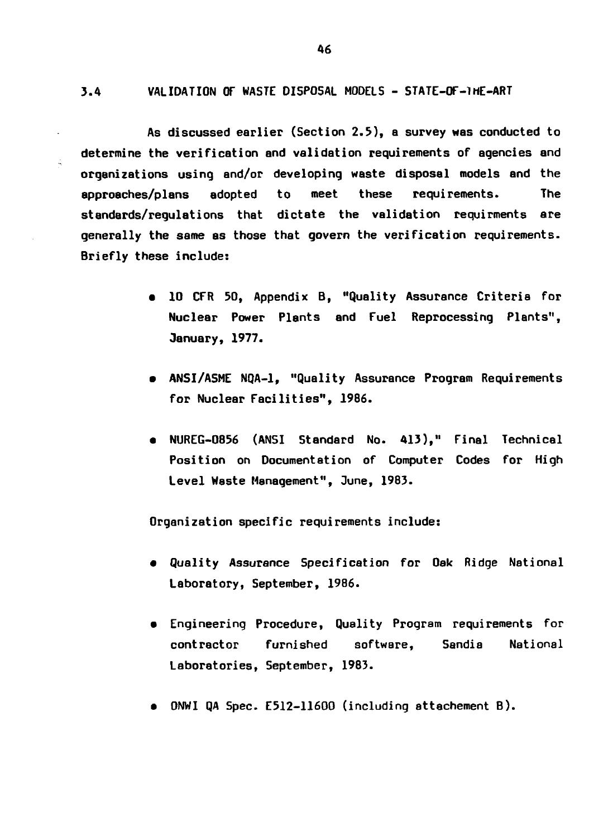**3.4 VALIDATION OF WASTE DISPOSAL MODELS - STATE-OF-1HE-ART**

**As discussed earlier (Section 2.3), a survey was conducted to determine the verification and validation requirements of agencies and organizations using and/or developing waste disposal models and the approaches/plans adopted to meet these requirements. The standards/regulations that dictate the validation requirments are generally the same as those that govern the verification requirements. Briefly these include:**

- **10 CFR 50, Appendix B, "Quality Assurance Criteria for Nuclear Power Plants and Fuel Reprocessing Plants", January, 1977.**
- **ANSI/A5ME NQA-1, "Quality Assurance Program Requirements for Nuclear Facilities", 1986.**
- **NUREG-0856 (ANSI Standard No. 413)," Final Technical Position on Documentation of Computer Codes for High Level Waste Management", June, 1983.**

**Organization specific requirements include:**

- **Quality Assurance Specification for Oak Ridge National Laboratory, September, 1986.**
- **Engineering Procedure, Quality Program requirements for contractor furnished software, Sandia National Laboratories, September, 1983.**
- **ONWI QA Spec. E512-11600 (including attachement B) .**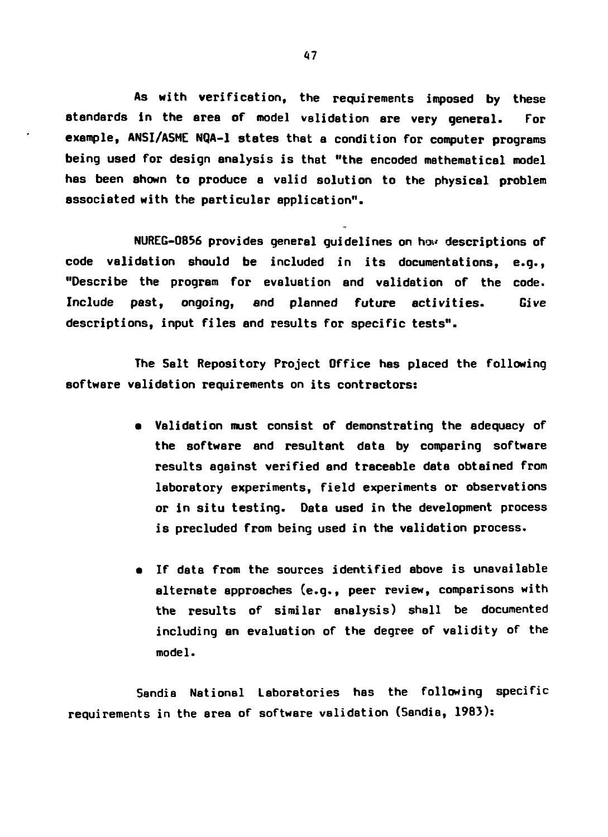**As with verification, the requirements imposed by these standards in the area of model validation are very general. For example, ANSI/ASME NQA-1 states that a condition for computer programs being used for design analysis is that "the encoded mathematical model has been shown to produce a valid solution to the physical problem associated with the particular application".**

**NUREG-O856 provides general guidelines on how descriptions of code validation should be included in its documentations, e.g., "Describe the program for evaluation and validation of the code. Include past, ongoing, and planned future activities. Give descriptions, input files and results for specific tests".**

**The Salt Repository Project Office has placed the following software validation requirements on its contractors:**

- **Validation must consist of demonstrating the adequacy of the software and resultant data by comparing software results against verified and traceable dats obtained from laboratory experiments, field experiments or observations or in situ testing. Data used in the development process is precluded from being used in the validation process.**
- **If data from the sources identified above is unavailable alternate approaches (e.g., peer review, comparisons with the results of similar analysis) shall be documented including an evaluation of the degree of validity of the model.**

**5andia National Laboratories has the following specific requirements in the area of software validation (5andia, 1983):**

47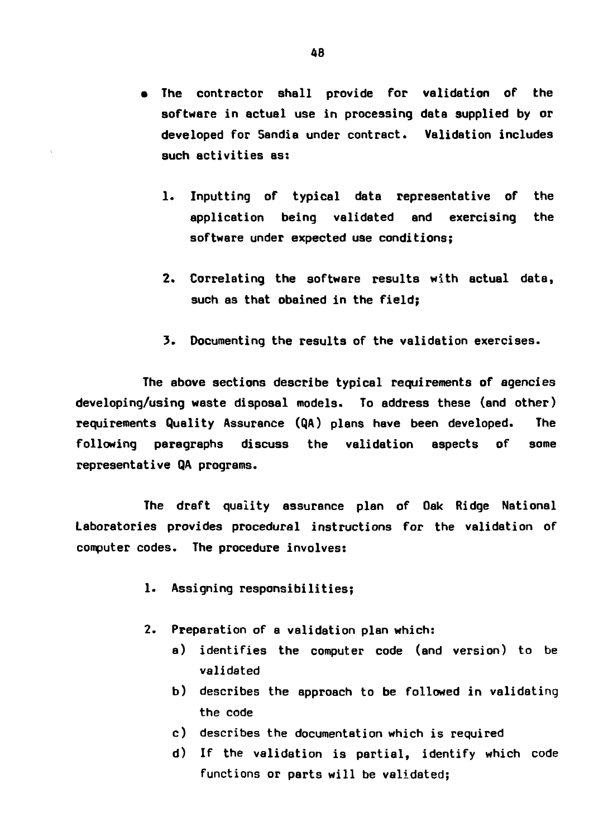- **The contractor shall provide for validation of the software in actual use in processing data supplied by or developed for Sandia under contract. Validation includes such activities as:**
	- **1. Inputting of typical data representative of the application being validated and exercising the software under expected use conditions;**
	- **2. Correlating the software results with actual data, such as that obained in the field;**
	- **3. Documenting the results of the validation exercises.**

**The above sections describe typical requirements of agencies developing/using waste disposal models. To address these (and other) requirements Quality Assurance (QA) plans have been developed. The following paragraphs discuss the validation aspects of some representative QA programs.**

**The draft quality assurance plan of Oak Ridge National Laboratories provides procedural instructions for the validation of computer codes. The procedure involves:**

- **1. Assigning responsibilities;**
- **2. Preparation of a validation plan which:**
	- **a) identifies the computer code (and version) to be validated**
	- **b) describes the approach to be followed in validating the code**
	- **c) describes the documentation which is required**
	- **d) If the validation is partial, identify which code functions or parts will be validated;**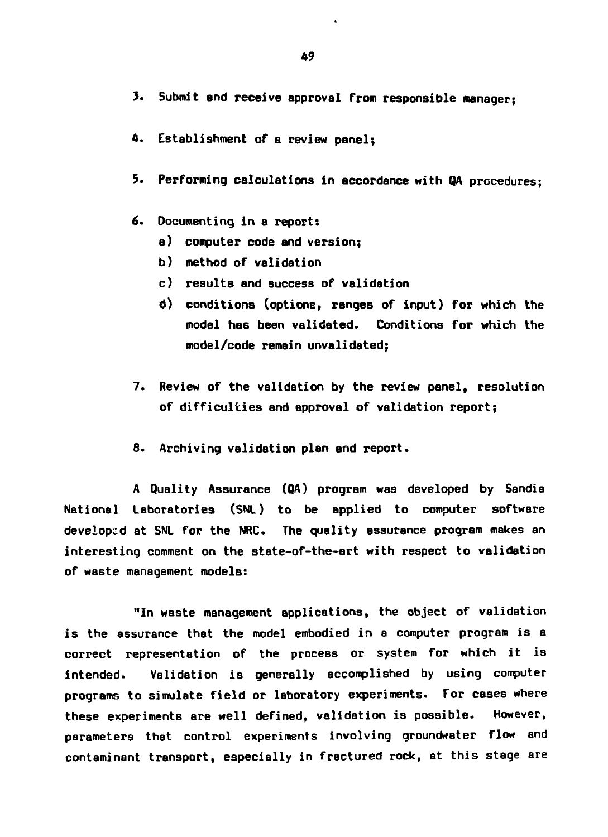- **3. Submit end receive approval from responsible manager;**
- **4. Establishment of a review panel;**
- **5. Performing calculations in accordance with QA procedures;**
- **6. Documenting in a report:**
	- **a) computer code and version;**
	- **b) method of validation**
	- **c) results and success of validation**
	- **d) conditions (optione, ranges of input) for which the model has been validated. Conditions for which the model/code remain unvalidated;**
- **7. Review of the validation by the review panel, resolution of difficulties and approval of validation report;**
- **B. Archiving validation plan and report.**

**A Quality Assurance (QA) program was developed by Sandia National Laboratories (SNL) to be applied to computer software developed at SNL for the NRC. The quality assurance program makes an interesting comment on the state-of-the-art with respect to validation of waste management models:**

**"In waste management applications, the object of validation is the assurance that the model embodied in a computer program is a correct representation of the process or system for which it is intended. Validation is generally accomplished by using computer programs to simulate field or laboratory experiments. For cases where these experiments are well defined, validation is possible. However, parameters that control experiments involving qroundwater flow and contaminant transport, especially in fractured rock, at this stage are**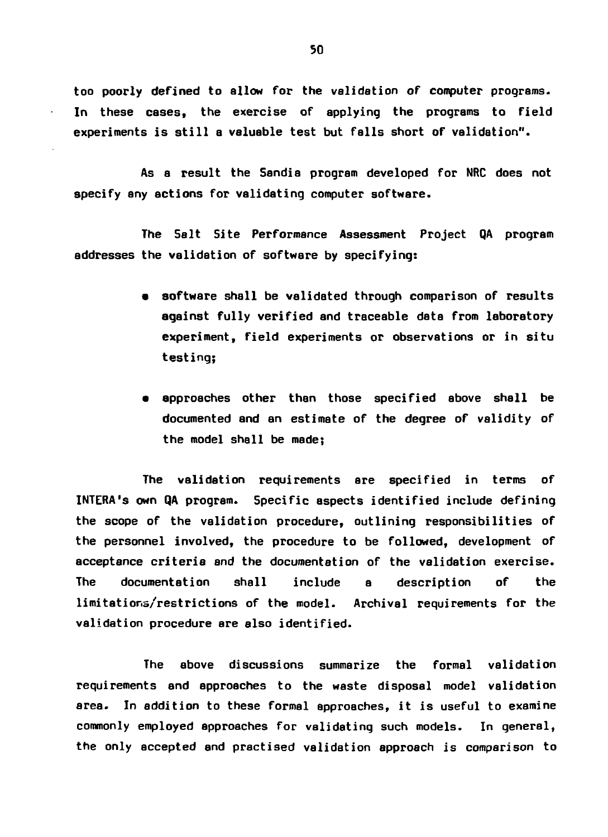**too poorly defined to allow for the validation of computer programs. In these cases, the exercise of applying the programs to field experiments is still a valuable test but falls short of validation".**

**As a result the Sandia program developed for NRC does not specify any actions for validating computer software.**

**The Salt Site Performance Assessment Project QA program addresses the validation of software by specifying:**

- **software shall be validated through comparison of results against fully verified and traceable data from laboratory experiment, field experiments or observations or in situ testing;**
- **approaches other than those specified above shall be documented and an estimate of the degree of validity of the model shall be made;**

**The validation requirements are specified in terms of INTERA's own QA program. Specific aspects identified include defining the scope of the validation procedure, outlining responsibilities of the personnel involved, the procedure to be followed, development of acceptance criteria and the documentation of the validation exercise. The documentation shall include a description of the limitations/restrictions of the model. Archival requirements for the validation procedure are also identified.**

**The above discussions summarize the formal validation requirements and approaches to the waste disposal model validation area. In addition to these formal approaches, it is useful to examine commonly employed approaches for validating such models. In general, the only accepted and practised validation approach is comparison to**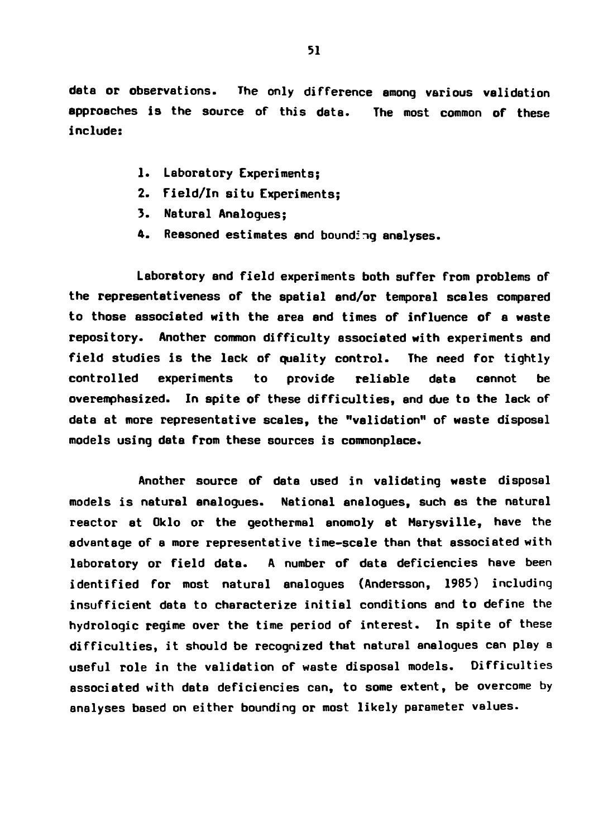- **1. Laboratory Experiments;**
- **2. Field/In situ Experiments;**
- **3. Natural Analogues;**
- **4. Reasoned estimates and bounding analyses.**

**Laboratory and field experiments both suffer from problems of the representativeness of the spatial and/or temporal scales compared to those associated with the area and times of influence of a waste repository. Another common difficulty associated with experiments and field studies is the lack of quality control. The need for tightly controlled experiments to provide reliable data cannot be overemphasized. In spite of these difficulties, and due to the lack of data at more representative scales, the "validation" of waste disposal models using data from these sources is commonplace.**

**Another source of data used in validating waste disposal models is natural analogues. National analogues, such as the natural reactor at Oklo or the geothermal anomoly at Marysvilie, have the** advantage of a more representative time-scale than that associated with **laboratory or field data. A number of data deficiencies have been identified for most natural analogues (Andersson, 1985) including insufficient data to characterize initial conditions and to define the hydrologic regime over the time period of interest. In spite of these difficulties, it should be recognized that natural analogues can play a useful role in the validation of waste disposal models. Difficulties associated with data deficiencies can, to some extent, be overcome by analyses based on either bounding or most likely parameter values.**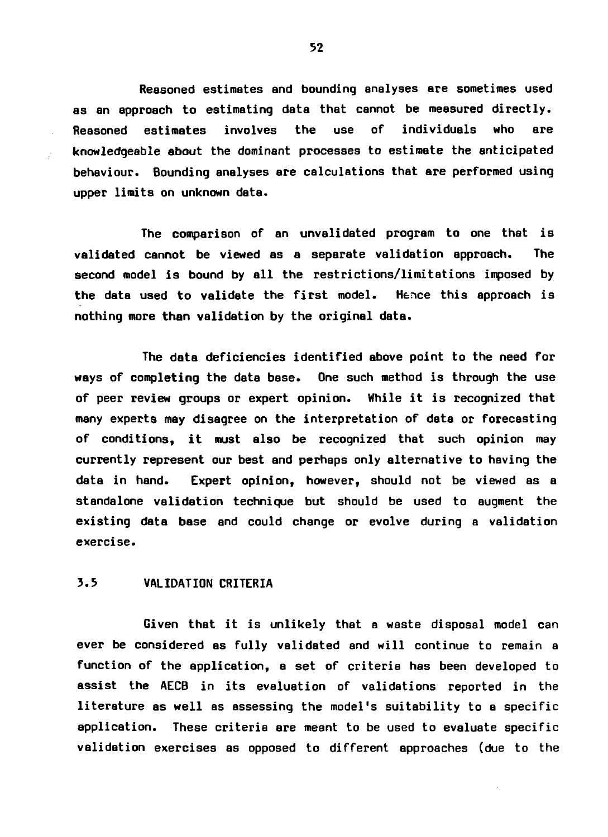**Reasoned estimates and bounding analyses are sometimes used as an approach to estimating data that cannot be measured directly. Reasoned estimates involves the use of individuals who are knowledgeable about the dominant processes to estimate the anticipated behaviour. Bounding analyses are calculations that are performed using upper limits on unknown data.**

**The comparison of an unvalidated program to one that is validated cannot be viewed as a separate validation approach. The second model is bound by all the restrictions/limitations imposed by the data used to validate the first model. Hence this approach is nothing more than validation by the original data.**

**The data deficiencies identified above point to the need for ways of completing the data base. One such method is through the use of peer review groups or expert opinion. While it is recognized that many experts may disagree on the interpretation of data or forecasting of conditions, it must also be recognized that such opinion may currently represent our best and perhaps only alternative to having the data in hand. Expert opinion, however, should not be viewed as a standalone validation technique but should be used to augment the existing data base and could change or evolve during a validation exercise.**

# **3.5 VALIDATION CRITERIA**

**Given that it is unlikely that a waste disposal model can ever be considered as fully validated and will continue to remain a function of the application, a set of criteria has been developed to assist the AECB in its evaluation of validations reported in the literature as well as assessing the model's suitability to a specific application. These criteria are meant to be used to evaluate specific validation exercises as opposed to different approaches (due to the**

**52**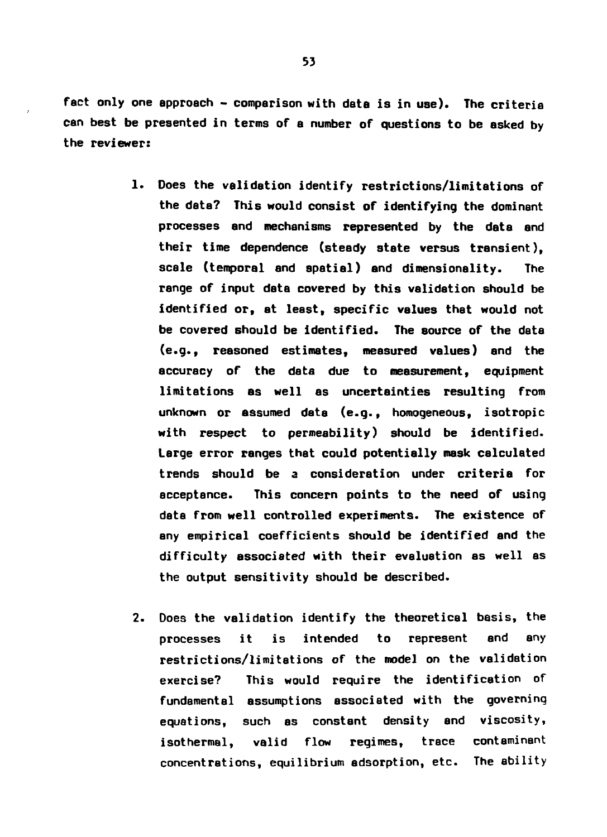**fact only one approach - comparison with data is in use). The criteria can best be presented in terms of a number of questions to be asked by the reviewer:**

- **1. Does the validation identify restrictions/limitations of the data? This would consist of identifying the dominant processes and mechanisms represented by the date and their time dependence (steady state versus transient), scale (temporal and spatial) and dimensionality. The range of input data covered by this validation should be identified or, at least, specific values that would not be covered should be identified. The source of the data (e.g., reasoned estimates, measured values) and the accuracy of the data due to measurement, equipment limitations as well as uncertainties resulting from unknown or assumed data (e.g., homogeneous, isotropic with respect to permeability) should be identified. Large error ranges that could potentially mask calculated trends should be a consideration under criteria for acceptance. This concern points to the need of using data from well controlled experiments. The existence of any empirical coefficients should be identified and the difficulty associated with their evaluation as well as the output sensitivity should be described.**
- **2. Does the validation identify the theoretical basis, the processes it is intended to represent and any restrictions/limitations of the model on the validation exercise? This would require the identification of fundamental assumptions associated with the governing equations, such as constant density and viscosity, isothermal, valid flow regimes, trace contaminant concentrations, equilibrium adsorption, etc. The ability**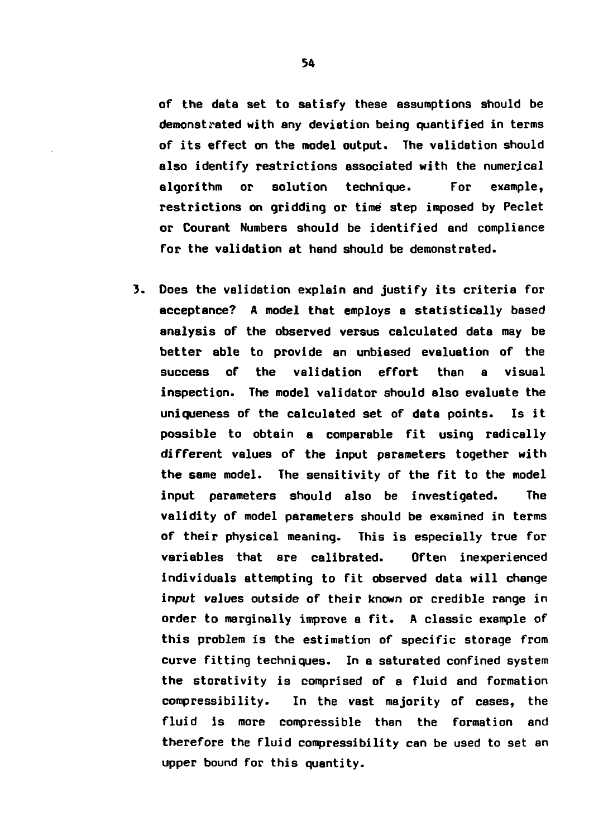**of the data set to satisfy these assumptions should be demonstrated with any deviation being quantified in terms of its effect on the model output. The validation should also identify restrictions associated with the numerical algorithm or solution technique. For example, restrictions on gridding or time step imposed by Peclet or Courant Numbers should be identified and compliance for the validation at hand should be demonstrated.**

**3. Does the validation explain and justify its criteria for acceptance? A model that employs a statistically based analysis of the observed versus calculated data may be better able to provide an unbiased evaluation of the success of the validation effort than a visual inspection. The model validator should also evaluate the uniqueness of the calculated set of data points. Is it possible to obtain a comparable fit using radically different values of the input parameters together with the same model. The sensitivity of the fit to the model input parameters should also be investigated. The validity of model parameters should be examined in terms of their physical meaning. This is especially true for variables that are calibrated. Often inexperienced individuals attempting to fit observed data will change input values outside of their known or credible range in order to marginally improve a fit. A classic example of this problem is the estimation of specific storage from curve fitting techniques. In a saturated confined system the storativity is comprised of a fluid and formation compressibility. In the vast majority of cases, the fluid is more compressible than the formation and therefore the fluid compressibility can be used to set an upper bound for this quantity.**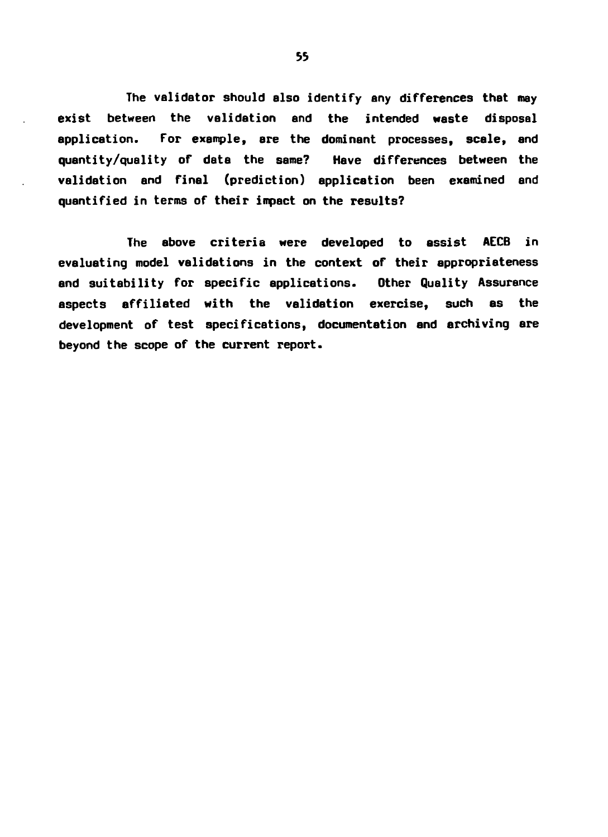**The validator should also identify any differences that may exist between the validation and the intended waste disposal application. For example, are the dominant processes, scale, and quantity/quality of data the same? Have differences between the validation and final (prediction) application been examined and quantified in terms of their impact on the results?**

**The above criteria were developed to assist AECB in evaluating model validations in the context of their appropriateness and suitability for specific applications. Other Quality Assurance aspects affiliated with the validation exercise, such as the development of test specifications, documentation and archiving are beyond the scope of the current report.**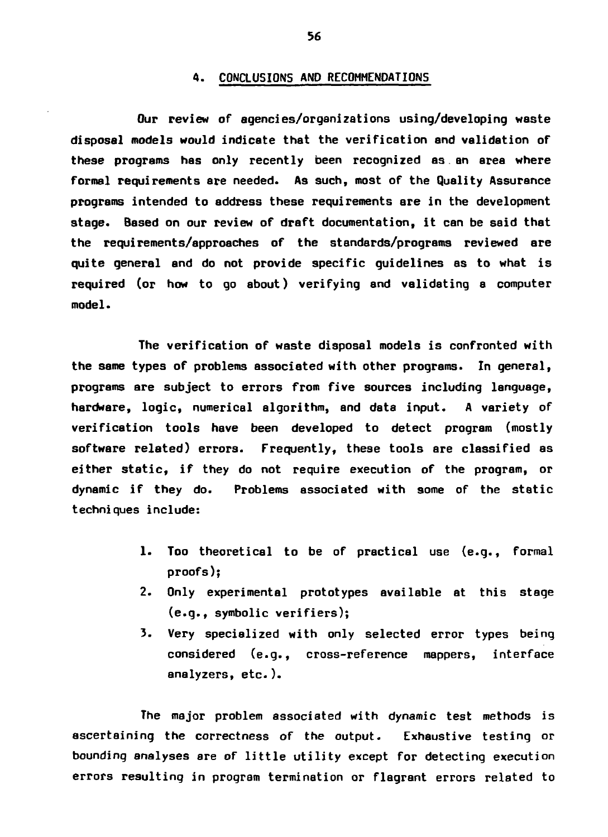### **4. CONCLUSIONS AND RECOMMENDATIONS**

**Our review of agencies/organizations using/developing waste disposal models would indicate that the verification and validation of these programs has only recently been recognized as an area where formal requirements are needed. As such, most of the Quality Assurance programs intended to address these requirements are in the development stage. Based on our review of draft documentation, it can be said that the requirements/approaches of the standards/programs reviewed are quite general and do not provide specific guidelines as to what is required (or how to go about) verifying and validating a computer model.**

**The verification of waste disposal models is confronted with the same types of problems associated with other programs. In general, programs are subject to errors from five sources including language, hardware, logic, numerical algorithm, and data input. A variety of verification tools have been developed to detect program (mostly software related) errors. Frequently, these tools are classified as either static, if they do not require execution of the program, or dynamic if they do. Problems associated with some of the static techniques include:**

- **1. Too theoretical to be of practical use (e.g., formal proofs);**
- **2. Only experimental prototypes available at this stage (e.g., symbolic verifiers);**
- **3. Very specialized with only selected error types being considered (e.g., cross-reference mappers, interface analyzers, etc.).**

**The major problem associated with dynamic test methods is ascertaining the correctness of the output. Exhaustive testing or bounding analyses are of little utility except for detecting execution errors resulting in program termination or flagrant errors related to**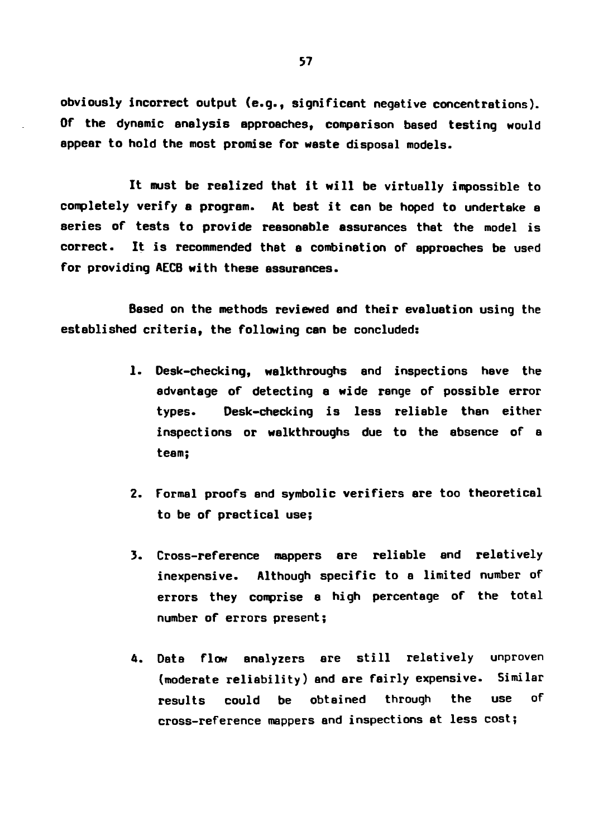**obviously incorrect output (e.g., significant negative concentrations). Of the dynamic analysis approaches, comparison based testing would appear to hold the most promise for waste disposal models.**

**It must be realized thet it will be virtually impossible to completely verify a program. At best it can be hoped to undertake a series of tests to provide reasonable assurances that the model is correct. It is recommended that a combination of approaches be used for providing AECB with these assurances.**

**Based on the methods reviewed and their evaluation using the established criteria, the following can be concluded:**

- **1. Desk-checking, walkthroughs and inspections have the advantage of detecting a wide range of possible error types. Desk-checking is less reliable than either inspections or walkthroughs due to the absence of a team;**
- **2. Formal proofs and symbolic verifiers are too theoretical to be of practical use;**
- **3. Cross-reference mappers are reliable and relatively inexpensive. Although specific to a limited number of errors they comprise a high percentage of the total number of errors present;**
- **4. DBta flow analyzers are still relatively unproven (moderate reliability) and are fairly expensive. Similar results could be obtained through the use of cross-reference mappers and inspections at less cost;**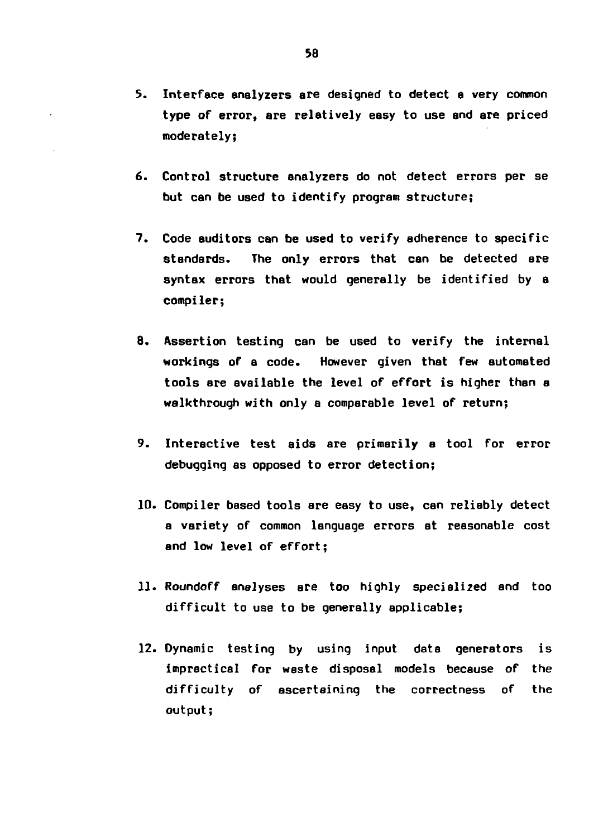- **3. Interface analyzers are designed to detect a very common type of error, are relatively easy to use and are priced moderately;**
- **6. Control structure analyzers do not detect errors per se but can be used to identify program structure;**
- **7. Code auditors can be used to verify adherence to specific standards. The only errors that can be detected are syntax errors that would generally be identified by a compiler;**
- **8. Assertion testing can be used to verify the internal workings of a code. However given that few automated tools are available the level of effort is higher than a walkthrough with only a comparable level of return;**
- **9. Interactive test aids are primarily a tool for error debugging as opposed to error detection;**
- **10. Compiler based tools are easy to use, can reliably detect a variety of common language errors at reasonable cost and low level of effort;**
- **11. Roundoff analyses are too highly specialized and too difficult to use to be generally applicable;**
- **12. Dynamic testing by using input data generators is impractical for waste disposal models because of the difficulty of ascertaining the correctness of the output;**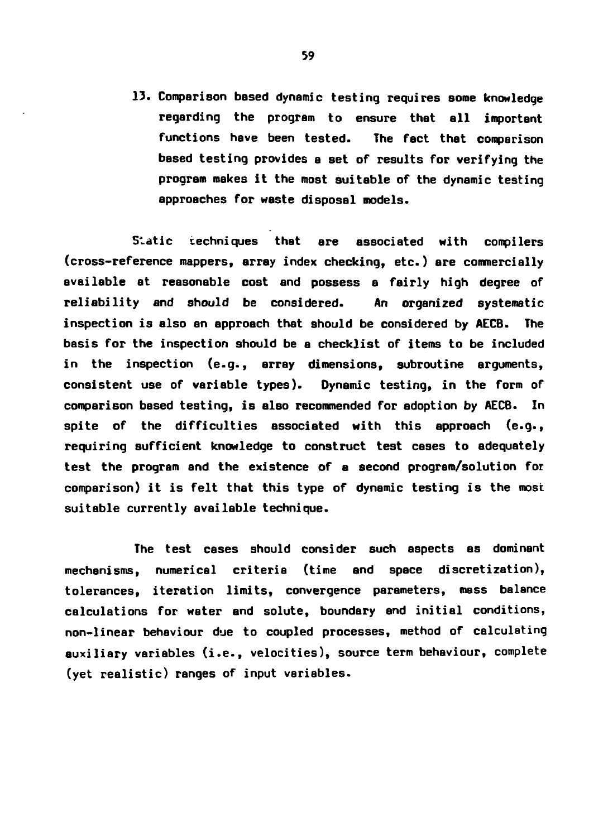**13. Comparison based dynamic testing requires some knowledge regarding the program to ensure that all important functions have been tested. The fact that comparison based testing provides a set of results for verifying the program makes it the most suitable of the dynamic testing approaches for waste disposal models.**

**S-dtic techniques that are associated with compilers (cross-reference mappers, array index checking, etc.) are commercially available at reasonable cost and possess a fairly high degree of reliability and should be considered. An organized systematic inspection is also an approach that should be considered by AECB. The basis for the inspection should be a checklist of items to be included in the inspection (e.g., array dimensions, subroutine arguments, consistent use of variable types). Dynamic testing, in the form of comparison based testing, is also recommended for adoption by AECB. In spite of the difficulties associated with this approach (e.g., requiring sufficient knowledge to construct test cases to adequately test the program and the existence of a second program/solution for comparison) it is felt that this type of dynamic testing is the most suitable currently available technique.**

**The test cases should consider such aspects as dominant mechanisms, numerical criteria (time and space discretization), tolerances, iteration limits, convergence parameters, mass balance calculations for water end solute, boundary and initial conditions, non-linear behaviour due to coupled processes, method of calculating auxiliary variables (i.e., velocities), source term behaviour, complete (yet realistic) ranges of input variables.**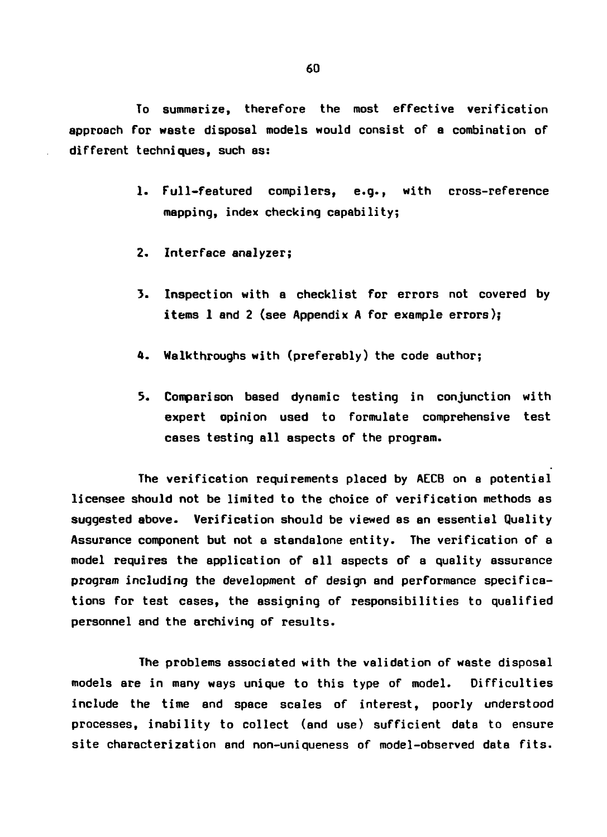**To summarize, therefore the most effective verification approach for waste disposal models would consist of a combination of different techniques, such as:**

- **1. Full-featured compilers, e.g., with cross-reference mapping, index checking capability;**
- **2. Interface analyzer;**
- **3. Inspection with a checklist for errors not covered by items 1 and 2 (see Appendix A for example errors);**
- **4. Walkthroughs with (preferably) the code author;**
- **5. Comparison based dynamic testing in conjunction with expert opinion used to formulate comprehensive test cases testing all aspects of the program.**

**The verification requirements placed by AECB on a potential licensee should not be limited to the choice of verification methods as suggested above. Verification should be viewed as an essential Quality Assurance component but not a standalone entity. The verification of a model requires the application of all aspects of a quality assurance program including the development of design and performance specifications for test cases, the assigning of responsibilities to qualified personnel and the archiving of results.**

**The problems associated with the validation of waste disposal models are in many ways unique to this type of model. Difficulties include the time and space scales of interest, poorly understood processes, inability to collect (and use) sufficient data to ensure site characterization and non-uniqueness of model-observed data fits.**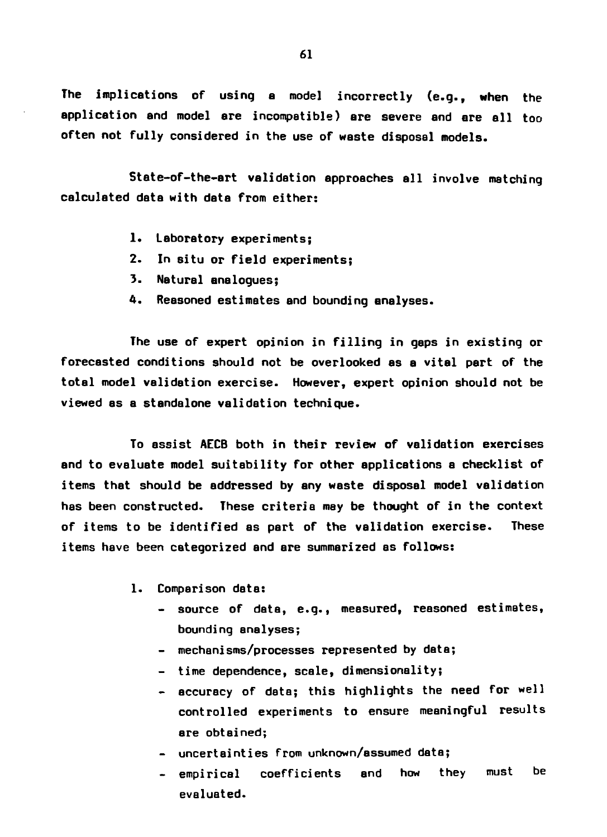**The implications of using a model incorrectly (e.g., when the application and model are incompatible) are severe and are all too often not fully considered in the use of waste disposal models.**

**State-of-the-art validation approaches ell involve matching calculated data with data from either:**

- **1. Laboratory experiments;**
- **2. In situ or field experiments;**
- **3. Natural analogues;**
- **4. Reasoned estimates and bounding analyses.**

**The use of expert opinion in filling in gaps in existing or forecasted conditions should not be overlooked as a vital part of the total model validation exercise. However, expert opinion should not be viewed as a standalone validation technique.**

**To assist AECB both in their review of validation exercises and to evaluate model suitability for other applications a checklist of items that should be addressed by any waste disposal model validation has been constructed. These criteria may be thought of in the context of items to be identified as part of the validation exercise. These items have been categorized and are summarized as follows:**

- **1. Comparison data:**
	- **source of data, e.g., measured, reasoned estimates, bounding analyses;**
	- **mechanisms/processes represented by data;**
	- **time dependence, scale, dimensionality;**
	- **accuracy of data; this highlights the need for well controlled experiments to ensure meaningful results are obtained;**
	- **uncertainties from unknown/assumed data;**
	- **empirical coefficients and how they must be evaluated.**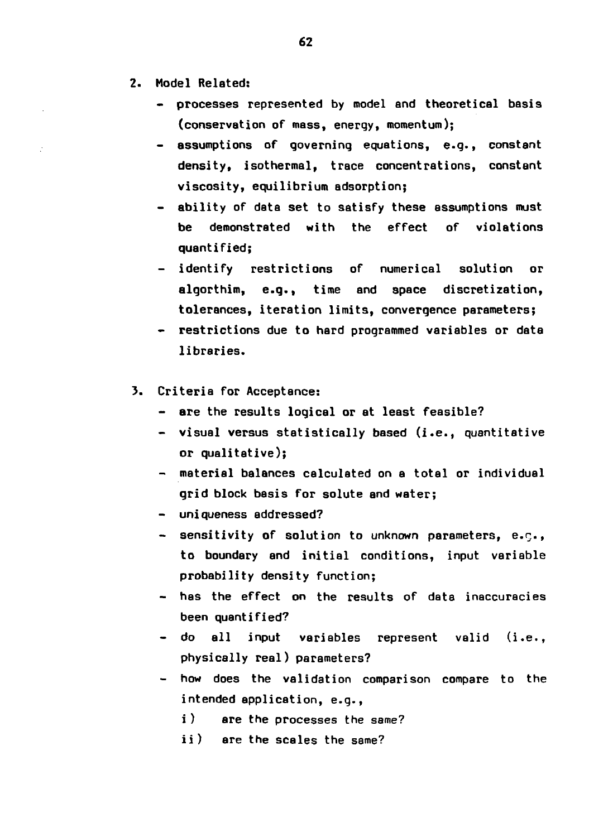- **2. Model Related:**
	- **processes represented by model and theoretical basis (conservation of mass, energy, momentum);**
	- **assumptions of governing equations, e.g., constant density, isothermal, trace concentrations, constant viscosity, equilibrium adsorption;**
	- **ability of data set to satisfy these assumptions must be demonstrated with the effect of violations quantified;**
	- **identify restrictions of numerical solution or algorthim, e.g., time and space discretization, tolerances, iteration limits, convergence parameters;**
	- **restrictions due to hard programmed variables or data libraries.**
- **3. Criteria for Acceptance:**
	- **are the results logical or at least feasible?**
	- **visual versus statistically based (i.e. , quantitative or qualitative);**
	- **material balances calculated on a total or individual grid block basis for solute and water;**
	- **uniqueness addressed?**
	- **sensitivity of solution to unknown parameters, e.r., to boundary and initial conditions, input variable probability density function;**
	- **has the effect on the results of data inaccuracies been quantified?**
	- **do all input variables represent valid (i.e., physically real) parameters?**
	- **how does the validation comparison compare to the intended application, e.g.,**
		- **i ) are the processes the same?**
		- **ii) are the scales the same?**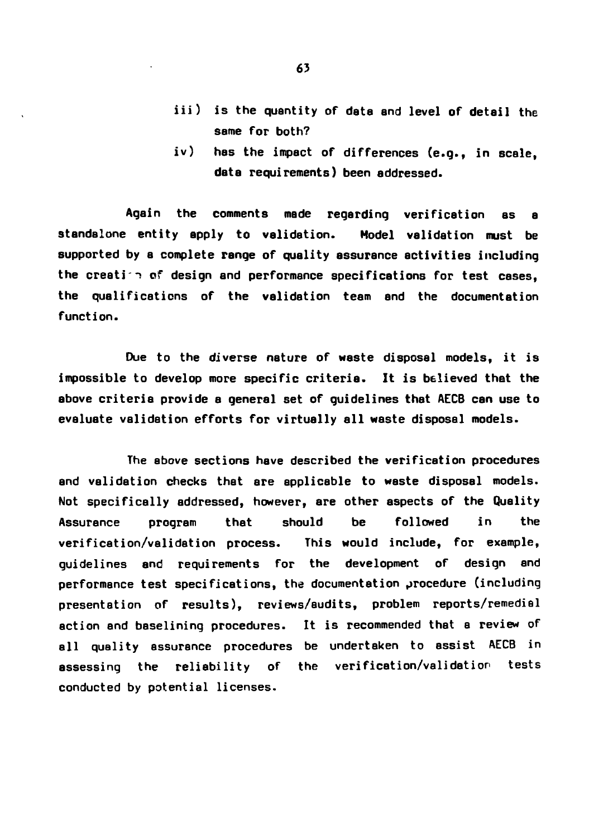- **iii) is the quantity of data and level of detail the same for both?**
- **iv) has the impact of differences (e.g., in scale, data requirements) been addressed.**

**Again the comments made regarding verification as a standalone entity apply to validation. Model validation must be supported by a complete range of quality assurance activities including the creati"! of design and performance specifications for test cases, the qualifications of the validation team and the documentation function.**

**Due to the diverse nature of waste disposal models, it is impossible to develop more specific criteria. It is believed that the above criteria provide a general set of guidelines that AECB can use to evaluate validation efforts for virtually all waste disposal models.**

**The above sections have described the verification procedures and validation checks that are applicable to waste disposal models. Not specifically addressed, however, are other aspects of the Quality Assurance program that should be followed in the verification/validation process. This would include, for example, guidelines and requirements for the development of design and performance test specifications, the documentation procedure (including presentation of results), reviews/audits, problem reports/remedial action and baselining procedures. It is recommended that a review of all quality assurance procedures be undertaken to assist AECB in assessing the reliability of the verification/validation tests conducted by potential licenses.**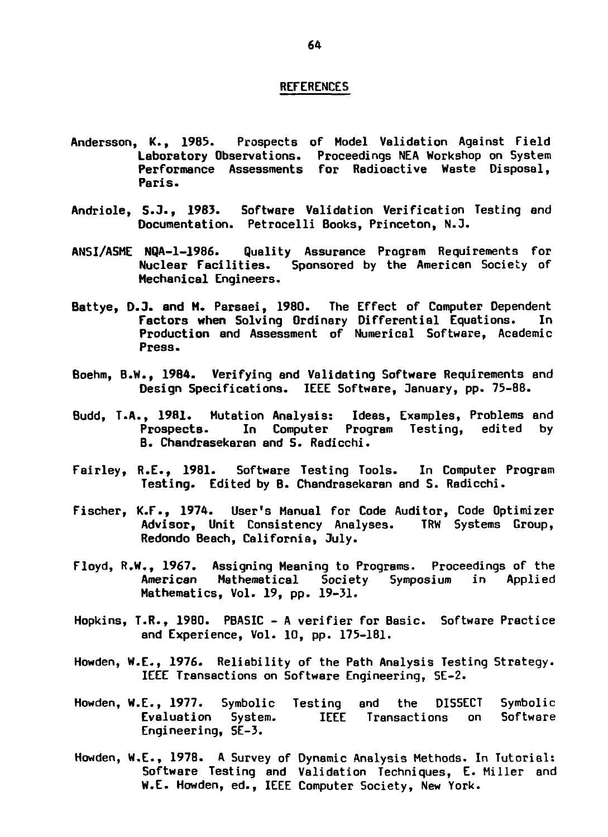- Andersson, K., 1985. Prospects of Model Validation Against Field Laboratory Observations. Proceedings NEA Workshop on System Performance Assessments for Radioactive Waste Disposal, Paris.
- Andriole, S.J., 1983. Software Validation Verification Testing end Documentation. Petrocelli Books, Princeton, N.3.
- ANSI/ASME NQA-1-1986. Quality Assurance Program Requirements for Nuclear Facilities. Sponsored by the American Society of Mechanical Engineers.
- Battye, D.3. **and** M. Parsaei, 1980. The Effect of Computer Dependent Factors **when** Solving Ordinary Differential Equations. In Production and Assessment of Numerical Software, Academic Press.
- Boehm, B.W., 1984. Verifying and Validating Software Requirements and Design Specifications. IEEE Software, January, pp. 75-88.
- Budd, T.A., 1981. Mutation Analysis: Ideas, Examples, Problems and Prospects- In Computer Program Testing, edited by B. Chandresekaran and S. Radicchi.
- Fairley, R.E., 1981. Software Testing Tools. In Computer Program Testing. Edited by B. Chandrasekaran and S. Radicchi.
- Fischer, K.F., 1974. User's Manual for Code Auditor, Code Optimizer Advisor, Unit Consistency Analyses. TRW Systems Group, Redondo Beach, California, July.
- Floyd, R.W., 1967. Assigning Meaning to Programs. Proceedings of the American Mathematical Society Symposium in Applied Mathematics, Vol. 19, pp. 19-31.
- Hopkins, T.R., 1980. PBASIC A verifier for Basic. Software Practice and Experience, Vol. 10, pp. 175-181.
- Howden, W.E., 1976. Reliability of the Path Analysis Testing Strategy. IEEE Transactions on Software Engineering, 5E-2.
- Howden, W.E., 1977. Symbolic Testing and the DISSECT Symbolic Evaluation System. IEEE Transactions on Software Engineering, SE-3.
- Howden, W.E., 1978. A Survey of Dynamic Analysis Methods. In Tutorial: Software Testing and Validation Techniques, E. Miller and W.E. Howden, ed., IEEE Computer Society, New York.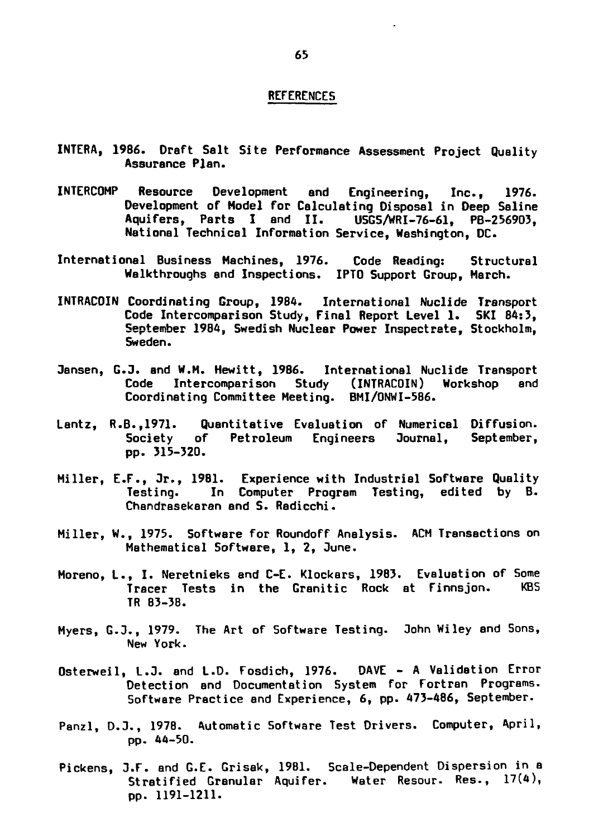- **INTERA, 1986. Draft Salt Site Performance Assessment Project Quality Assurance Plan.**
- **INTERCOMP Resource Development and Engineering, Inc., 1976. Development of Model for Calculating Disposal in Deep Saline Aquifers, Parts I and II. USGS/WRI-76-61, PB-256903, National Technical Information Service, Washington, DC.**
- **International Business Machines, 1976. Code Reading: Structural Walkthroughs and Inspections. IPTO Support Group, March.**
- **INTRACOIN Coordinating Group, 1984. International Nuclide Transport Code Intercomparison Study, Final Report Level 1. SKI 84:3, September 1984, Swedish Nuclear Power Inspectrate, Stockholm, Sweden.**
- **Jensen, G.J. and W.M. Hewitt, 1986. International Nuclide Transport Code Intercomparison Study (INTRACOIN) Workshop end Coordinating Committee Meeting. BMI/ONWI-586.**
- **Lantz, R.B.,1971. Quantitative Evaluation of Numerical Diffusion. Society of Petroleum Engineers Journal, September, pp. 315-320.**
- **Miller, E.F., Jr., 1981. Experience with Industrial Software Quality Testing. In Computer Program Testing, edited by B. Chandresekaran end 5. Radicchi.**
- **Miller, W., 1975. Software for Roundoff Analysis. ACM Transactions on Mathematical Software, 1, 2, June.**
- **Moreno, L., I. Neretnieks and C-E. Klockars, 1983. Evaluation of Some Tracer Tests in the Granitic Rock at Finnsjon. KBS TR 83-38.**
- **Myers, G.J., 1979. The Art of Software Testing. John Wiley and Sons, New York.**
- **Osterweil, L.J. and L.D. Fosdich, 1976. DAVE A Validation Error Detection and Documentation System for Fortran Programs. Software Practice and Experience, 6, pp. 473-486, September.**
- **Panzl, D.J., 1978. Automatic Software Test Drivers. Computer, April, pp. 44-50.**
- **Pickens, J.F. and G.E. Grisak, 19B1. Scale-Dependent Dispersion in a Stratified Granular Aquifer. Water Resour. Res., 17(4), pp. 1191-1211.**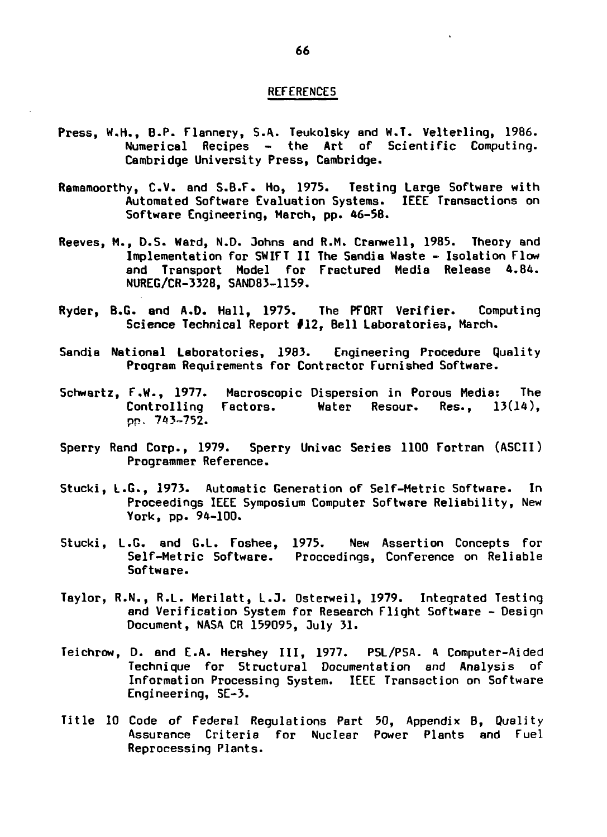- **Press, W.H., B.P. Flannery, S.A. Teukolsky and W.T. Velterling, 1986. Numerical Recipes - the Art of Scientific Computing. Cambridge University Press, Cambridge.**
- **Ramamoorthy, C.V. and S.B.F. Ho, 1975. Testing Large Software with Automated Software Evaluation Systems. IEEE Transactions on Software Engineering, March, pp. 46-58.**
- **Reeves, M., D.5. Ward, N.D. 3ohns and R.M. Cranwell, 1985. Theory and Implementation for SWIFT II The 5andia Waste - Isolation Flow and Transport Model for Fractured Media Release 4.84. NUREG/CR-3328, SANO83-1159.**
- **Ryder, B.G. and A.D. Hall, 1975. The PFORT Verifier. Computing Science Technical Report #12, Bell Laboratories, March.**
- **Sandia National Laboratories, 1983. Engineering Procedure Quality Program Requirements for Contractor Furnished Software.**
- **Schwartz, F.W., 1977. Macroscopic Dispersion in Porous Media: The Controlling Factors. Water Resour. Res., 13(14), pp. 743-752.**
- **Sperry Rand Corp., 1979. Sperry Univac Series 1100 Fortran (ASCII) Programmer Reference.**
- **Stucki, L.G., 1973. Automatic Generation of Self-Metric Software. In Proceedings IEEE Symposium Computer Software Reliability, New York, pp. 94-100.**
- **Stucki, L.G. and G.L. Foshee, 1975. New Assertion Concepts for Self-Metric Software. Proceedings, Conference on Reliable Software.**
- **Taylor, R.N., R.L. Merilatt, L.3. Osterweil, 1979. Integrated Testing and Verification System for Research Flight Software - Design Document, NASA CR 159095, July 31.**
- **Teichrow, D. and E.A. Hershey III, 1977. PSL/PSA. A Computer-Aided Technique for Structural Documentation and Analysis of Information Processing System. IEEE Transaction on Software Engineering, SE-3.**
- **Title 10 Code of Federal Regulations Part 50, Appendix B, Quality Assurance Criteria for Nuclear Power Plants and Fuel Reprocessing Plants.**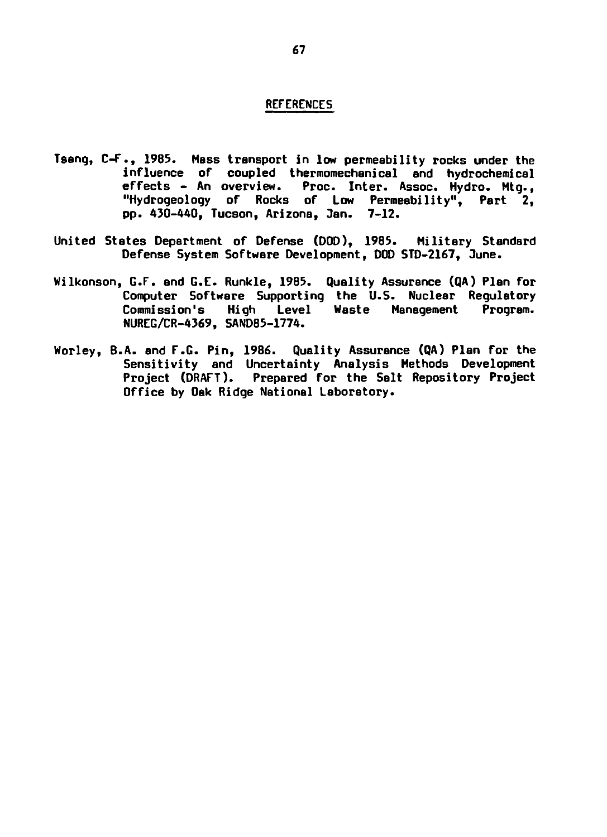- **Tseng, C-F., 1985. Mass transport in low permeability rocks under the influence of coupled thermomechanical and hydrochemical effects - An overview. Proc. Inter. Assoc. Hydro. Mtg., "Hydrogeology of Rocks of Low Permeability", Part 2, pp. 430-440, Tucson, Arizona, Jan. 7-12.**
- **United States Department of Defense (DOD), 1985. Military Standard Defense System Software Development, DOD STD-2167, Dune.**
- **Wilkonson, G.F. and G.E. Runkle, 1985. Quality Assurance (QA) Plan for Computer Software Supporting the U.S. Nuclear Regulatory Commission's High Level Waste Management Program. NUREG/CR-4369, 5AND85-1774.**
- **Worley, B.A. and F.G. Pin, 1986. Quality Assurance (QA) Plan for the Sensitivity and Uncertainty Analysis Methods Development Project (DRAFT). Prepared for the Salt Repository Project Office by Oak Ridge National Laboratory.**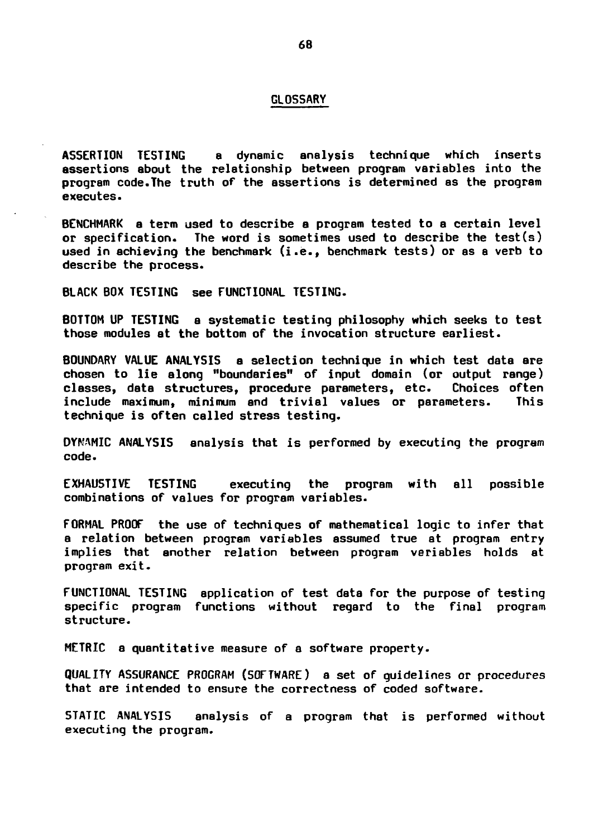#### **GLOSSARY**

**ASSERTION TESTING a dynamic analysis technique which inserts assertions about the relationship between program variables into the program code.The truth of the assertions is determined as the program executes.**

**BENCHMARK a term used to describe a program tested to a certain level or specification. The word is sometimes used to describe the test(s) used in achieving the benchmark (i.e., benchmark tests) or as a verb to describe the process.**

**BLACK BOX TESTING see FUNCTIONAL TESTING.**

**BOTTOM UP TESTING a systematic testing philosophy which seeks to test those modules at the bottom of the invocation structure earliest.**

**BOUNDARY VALUE ANALYSIS a selection technique in which test data ere chosen to lie along "boundaries" of input domain (or output range) classes, data structures, procedure parameters, etc. Choices often include maximum, minimum and trivial values or parameters. This technique is often called stress testing.**

**DYNAMIC ANALYSIS analysis that is performed by executing the program code.**

**EXHAUSTIVE TESTING executing the program with all possible combinations of values for program variables.**

**FORMAL PROOF the use of techniques of mathematical logic to infer that a relation between program variables assumed true at program entry implies that another relation between program variables holds at program exit.**

**FUNCTIONAL TESTING application of test data for the purpose of testing specific program functions without regard to the final program structure.**

**METRIC a quantitative measure of a software property.**

**QUALITY ASSURANCE PROGRAM (SOFTWARE) a set of guidelines or procedures that are intended to ensure the correctness of coded software.**

**STATIC ANALYSIS analysis of a program that is performed without executing the program.**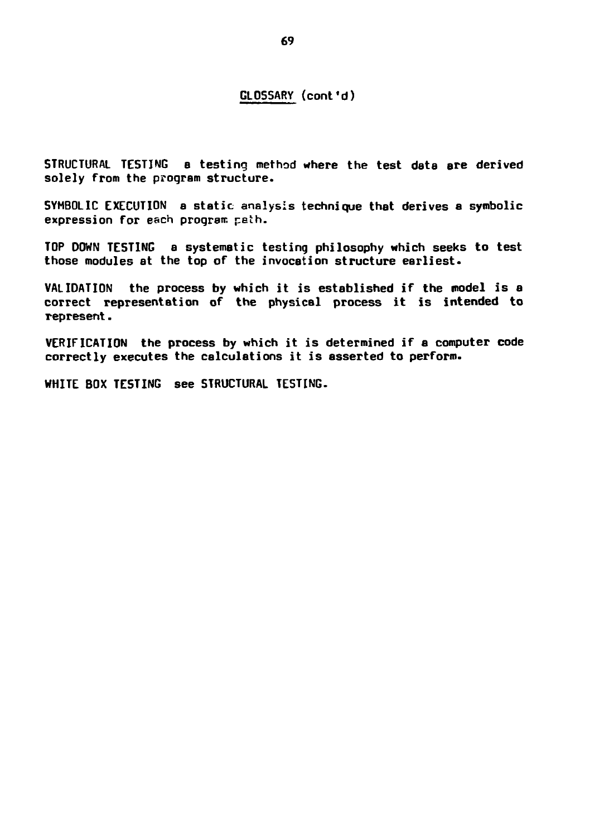### **GLOSSARY (cont'd)**

**STRUCTURAL TESTING a testing method where the test data are derived solely from the program structure.**

**SYMBOLIC EXECUTION a static analysis technique that derives a symbolic expression for each program peth.**

**TOP DOWN TESTING a systematic testing philosophy which seeks to test those modules at the top of the invocation structure earliest\***

**VALIDATION the process by which it is established if the model is a correct representation of the physical process it is intended to represent.**

**VERIFICATION the process by which it is determined if a computer code correctly executes the calculations it is asserted to perform.**

**WHITE BOX TESTING see STRUCTURAL TESTING.**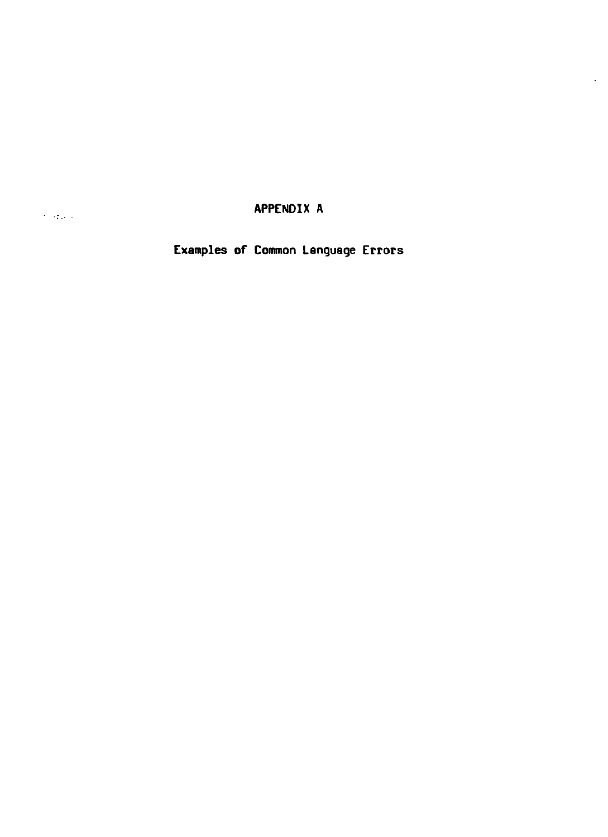**APPENDIX A**

 $\ddot{\phantom{a}}$ 

**Examples of Connnon Language Errors**

 $\sim 1000$  km  $^{-1}$